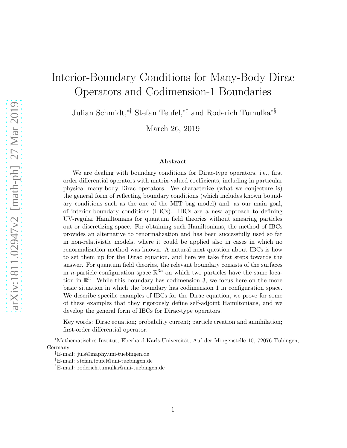# Interior-Boundary Conditions for Many-Body Dirac Operators and Codimension-1 Boundaries

Julian Schmidt,∗† Stefan Teufel,∗‡ and Roderich Tumulka∗§

March 26, 2019

#### Abstract

We are dealing with boundary conditions for Dirac-type operators, i.e., first order differential operators with matrix-valued coefficients, including in particular physical many-body Dirac operators. We characterize (what we conjecture is) the general form of reflecting boundary conditions (which includes known boundary conditions such as the one of the MIT bag model) and, as our main goal, of interior-boundary conditions (IBCs). IBCs are a new approach to defining UV-regular Hamiltonians for quantum field theories without smearing particles out or discretizing space. For obtaining such Hamiltonians, the method of IBCs provides an alternative to renormalization and has been successfully used so far in non-relativistic models, where it could be applied also in cases in which no renormalization method was known. A natural next question about IBCs is how to set them up for the Dirac equation, and here we take first steps towards the answer. For quantum field theories, the relevant boundary consists of the surfaces in *n*-particle configuration space  $\mathbb{R}^{3n}$  on which two particles have the same location in  $\mathbb{R}^3$ . While this boundary has codimension 3, we focus here on the more basic situation in which the boundary has codimension 1 in configuration space. We describe specific examples of IBCs for the Dirac equation, we prove for some of these examples that they rigorously define self-adjoint Hamiltonians, and we develop the general form of IBCs for Dirac-type operators.

Key words: Dirac equation; probability current; particle creation and annihilation; first-order differential operator.

\*Mathematisches Institut, Eberhard-Karls-Universität, Auf der Morgenstelle 10, 72076 Tübingen, Germany

<sup>†</sup>E-mail: juls@maphy.uni-tuebingen.de

<sup>‡</sup>E-mail: stefan.teufel@uni-tuebingen.de

<sup>§</sup>E-mail: roderich.tumulka@uni-tuebingen.de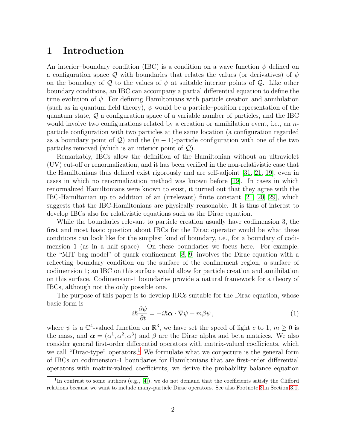## 1 Introduction

An interior–boundary condition (IBC) is a condition on a wave function  $\psi$  defined on a configuration space Q with boundaries that relates the values (or derivatives) of  $\psi$ on the boundary of Q to the values of  $\psi$  at suitable interior points of Q. Like other boundary conditions, an IBC can accompany a partial differential equation to define the time evolution of  $\psi$ . For defining Hamiltonians with particle creation and annihilation (such as in quantum field theory),  $\psi$  would be a particle–position representation of the quantum state, Q a configuration space of a variable number of particles, and the IBC would involve two configurations related by a creation or annihilation event, i.e., an  $n$ particle configuration with two particles at the same location (a configuration regarded as a boundary point of  $\mathcal{Q}$ ) and the  $(n-1)$ -particle configuration with one of the two particles removed (which is an interior point of  $\mathcal{Q}$ ).

Remarkably, IBCs allow the definition of the Hamiltonian without an ultraviolet (UV) cut-off or renormalization, and it has been verified in the non-relativistic case that the Hamiltonians thus defined exist rigorously and are self-adjoint [\[31,](#page-31-0) [21,](#page-30-0) [19\]](#page-30-1), even in cases in which no renormalization method was known before [\[19\]](#page-30-1). In cases in which renormalized Hamiltonians were known to exist, it turned out that they agree with the IBC-Hamiltonian up to addition of an (irrelevant) finite constant [\[21,](#page-30-0) [20,](#page-30-2) [29\]](#page-31-1), which suggests that the IBC-Hamiltonians are physically reasonable. It is thus of interest to develop IBCs also for relativistic equations such as the Dirac equation.

While the boundaries relevant to particle creation usually have codimension 3, the first and most basic question about IBCs for the Dirac operator would be what these conditions can look like for the simplest kind of boundary, i.e., for a boundary of codimension 1 (as in a half space). On these boundaries we focus here. For example, the "MIT bag model" of quark confinement [\[8,](#page-29-0) [9\]](#page-29-1) involves the Dirac equation with a reflecting boundary condition on the surface of the confinement region, a surface of codimension 1; an IBC on this surface would allow for particle creation and annihilation on this surface. Codimension-1 boundaries provide a natural framework for a theory of IBCs, although not the only possible one.

The purpose of this paper is to develop IBCs suitable for the Dirac equation, whose basic form is

<span id="page-1-1"></span>
$$
i\hbar \frac{\partial \psi}{\partial t} = -i\hbar \mathbf{\alpha} \cdot \nabla \psi + m\beta \psi , \qquad (1)
$$

where  $\psi$  is a  $\mathbb{C}^4$ -valued function on  $\mathbb{R}^3$ , we have set the speed of light c to 1,  $m \geq 0$  is the mass, and  $\boldsymbol{\alpha} = (\alpha^1, \alpha^2, \alpha^3)$  and  $\beta$  are the Dirac alpha and beta matrices. We also consider general first-order differential operators with matrix-valued coefficients, which we call "Dirac-type" operators.<sup>[1](#page-1-0)</sup> We formulate what we conjecture is the general form of IBCs on codimension-1 boundaries for Hamiltonians that are first-order differential operators with matrix-valued coefficients, we derive the probability balance equation

<span id="page-1-0"></span><sup>&</sup>lt;sup>1</sup>In contrast to some authors (e.g., [\[4\]](#page-29-2)), we do not demand that the coefficients satisfy the Clifford relations because we want to include many-particle Dirac operators. See also Footnote [3](#page-8-0) in Section [3.1.](#page-8-1)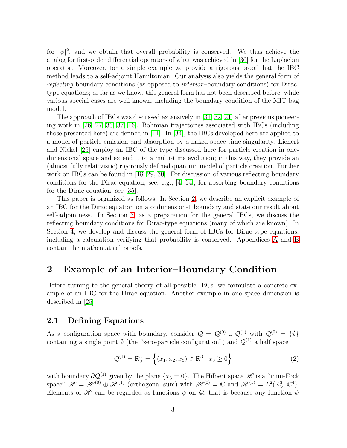for  $|\psi|^2$ , and we obtain that overall probability is conserved. We thus achieve the analog for first-order differential operators of what was achieved in [\[36\]](#page-31-2) for the Laplacian operator. Moreover, for a simple example we provide a rigorous proof that the IBC method leads to a self-adjoint Hamiltonian. Our analysis also yields the general form of reflecting boundary conditions (as opposed to interior–boundary conditions) for Diractype equations; as far as we know, this general form has not been described before, while various special cases are well known, including the boundary condition of the MIT bag model.

The approach of IBCs was discussed extensively in [\[31,](#page-31-0) [32,](#page-31-3) [21\]](#page-30-0) after previous pioneering work in [\[26,](#page-31-4) [27,](#page-31-5) [33,](#page-31-6) [37,](#page-32-0) [16\]](#page-30-3). Bohmian trajectories associated with IBCs (including those presented here) are defined in [\[11\]](#page-30-4). In [\[34\]](#page-31-7), the IBCs developed here are applied to a model of particle emission and absorption by a naked space-time singularity. Lienert and Nickel [\[25\]](#page-31-8) employ an IBC of the type discussed here for particle creation in onedimensional space and extend it to a multi-time evolution; in this way, they provide an (almost fully relativistic) rigorously defined quantum model of particle creation. Further work on IBCs can be found in [\[18,](#page-30-5) [29,](#page-31-1) [30\]](#page-31-9). For discussion of various reflecting boundary conditions for the Dirac equation, see, e.g.,  $[4, 14]$  $[4, 14]$ ; for absorbing boundary conditions for the Dirac equation, see [\[35\]](#page-31-10).

This paper is organized as follows. In Section [2,](#page-2-0) we describe an explicit example of an IBC for the Dirac equation on a codimension-1 boundary and state our result about self-adjointness. In Section [3,](#page-7-0) as a preparation for the general IBCs, we discuss the reflecting boundary conditions for Dirac-type equations (many of which are known). In Section [4,](#page-17-0) we develop and discuss the general form of IBCs for Dirac-type equations, including a calculation verifying that probability is conserved. Appendices [A](#page-24-0) and [B](#page-27-0) contain the mathematical proofs.

# <span id="page-2-0"></span>2 Example of an Interior–Boundary Condition

Before turning to the general theory of all possible IBCs, we formulate a concrete example of an IBC for the Dirac equation. Another example in one space dimension is described in [\[25\]](#page-31-8).

#### <span id="page-2-1"></span>2.1 Defining Equations

As a configuration space with boundary, consider  $\mathcal{Q} = \mathcal{Q}^{(0)} \cup \mathcal{Q}^{(1)}$  with  $\mathcal{Q}^{(0)} = \{\emptyset\}$ containing a single point  $\emptyset$  (the "zero-particle configuration") and  $\mathcal{Q}^{(1)}$  a half space

$$
\mathcal{Q}^{(1)} = \mathbb{R}^3_{>} = \left\{ (x_1, x_2, x_3) \in \mathbb{R}^3 : x_3 \ge 0 \right\}
$$
 (2)

with boundary  $\partial \mathcal{Q}^{(1)}$  given by the plane  $\{x_3 = 0\}$ . The Hilbert space  $\mathscr{H}$  is a "mini-Fock space"  $\mathscr{H} = \mathscr{H}^{(0)} \oplus \mathscr{H}^{(1)}$  (orthogonal sum) with  $\mathscr{H}^{(0)} = \mathbb{C}$  and  $\mathscr{H}^{(1)} = L^2(\mathbb{R}^3)$ ,  $\mathbb{C}^4$ ). Elements of  $\mathscr H$  can be regarded as functions  $\psi$  on  $\mathcal Q$ ; that is because any function  $\psi$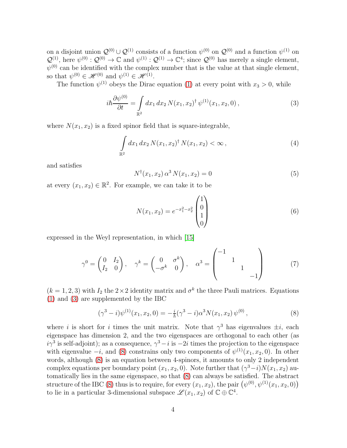on a disjoint union  $\mathcal{Q}^{(0)} \cup \mathcal{Q}^{(1)}$  consists of a function  $\psi^{(0)}$  on  $\mathcal{Q}^{(0)}$  and a function  $\psi^{(1)}$  on  $\mathcal{Q}^{(1)}$ , here  $\psi^{(0)} : \mathcal{Q}^{(0)} \to \mathbb{C}$  and  $\psi^{(1)} : \mathcal{Q}^{(1)} \to \mathbb{C}^4$ ; since  $\mathcal{Q}^{(0)}$  has merely a single element,  $\psi^{(0)}$  can be identified with the complex number that is the value at that single element, so that  $\psi^{(0)} \in \mathscr{H}^{(0)}$  and  $\psi^{(1)} \in \mathscr{H}^{(1)}$ .

The function  $\psi^{(1)}$  obeys the Dirac equation [\(1\)](#page-1-1) at every point with  $x_3 > 0$ , while

<span id="page-3-0"></span>
$$
i\hbar \frac{\partial \psi^{(0)}}{\partial t} = \int_{\mathbb{R}^2} dx_1 dx_2 N(x_1, x_2)^{\dagger} \psi^{(1)}(x_1, x_2, 0) , \qquad (3)
$$

where  $N(x_1, x_2)$  is a fixed spinor field that is square-integrable,

$$
\int_{\mathbb{R}^2} dx_1 dx_2 N(x_1, x_2)^{\dagger} N(x_1, x_2) < \infty \,, \tag{4}
$$

and satisfies

<span id="page-3-3"></span>
$$
N^{\dagger}(x_1, x_2) \alpha^3 N(x_1, x_2) = 0 \tag{5}
$$

at every  $(x_1, x_2) \in \mathbb{R}^2$ . For example, we can take it to be

<span id="page-3-4"></span>
$$
N(x_1, x_2) = e^{-x_1^2 - x_2^2} \begin{pmatrix} 1 \\ 0 \\ 1 \\ 0 \end{pmatrix}
$$
 (6)

expressed in the Weyl representation, in which [\[15\]](#page-30-7)

<span id="page-3-2"></span>
$$
\gamma^0 = \begin{pmatrix} 0 & I_2 \\ I_2 & 0 \end{pmatrix}, \quad \gamma^k = \begin{pmatrix} 0 & \sigma^k \\ -\sigma^k & 0 \end{pmatrix}, \quad \alpha^3 = \begin{pmatrix} -1 & & \\ & 1 & \\ & & 1 \\ & & & -1 \end{pmatrix}
$$
(7)

 $(k = 1, 2, 3)$  with  $I_2$  the  $2 \times 2$  identity matrix and  $\sigma^k$  the three Pauli matrices. Equations [\(1\)](#page-1-1) and [\(3\)](#page-3-0) are supplemented by the IBC

<span id="page-3-1"></span>
$$
(\gamma^3 - i)\psi^{(1)}(x_1, x_2, 0) = -\frac{i}{\hbar}(\gamma^3 - i)\alpha^3 N(x_1, x_2)\psi^{(0)},
$$
\n(8)

where *i* is short for *i* times the unit matrix. Note that  $\gamma^3$  has eigenvalues  $\pm i$ , each eigenspace has dimension 2, and the two eigenspaces are orthogonal to each other (as  $i\gamma^3$  is self-adjoint); as a consequence,  $\gamma^3 - i$  is  $-2i$  times the projection to the eigenspace with eigenvalue  $-i$ , and [\(8\)](#page-3-1) constrains only two components of  $\psi^{(1)}(x_1, x_2, 0)$ . In other words, although [\(8\)](#page-3-1) is an equation between 4-spinors, it amounts to only 2 independent complex equations per boundary point  $(x_1, x_2, 0)$ . Note further that  $(\gamma^3 - i)N(x_1, x_2)$  automatically lies in the same eigenspace, so that [\(8\)](#page-3-1) can always be satisfied. The abstract structure of the IBC [\(8\)](#page-3-1) thus is to require, for every  $(x_1, x_2)$ , the pair  $(\psi^{(0)}, \psi^{(1)}(x_1, x_2, 0))$ to lie in a particular 3-dimensional subspace  $\mathscr{L}(x_1, x_2)$  of  $\mathbb{C} \oplus \mathbb{C}^4$ .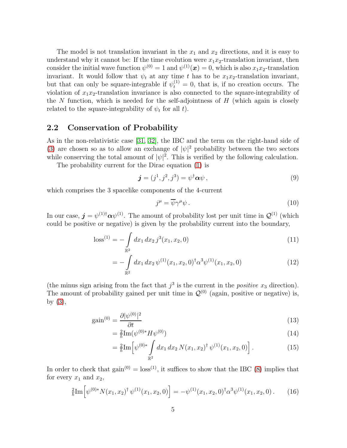The model is not translation invariant in the  $x_1$  and  $x_2$  directions, and it is easy to understand why it cannot be: If the time evolution were  $x_1x_2$ -translation invariant, then consider the initial wave function  $\psi^{(0)} = 1$  and  $\psi^{(1)}(x) = 0$ , which is also  $x_1 x_2$ -translation invariant. It would follow that  $\psi_t$  at any time t has to be  $x_1x_2$ -translation invariant, but that can only be square-integrable if  $\psi_t^{(1)} = 0$ , that is, if no creation occurs. The violation of  $x_1x_2$ -translation invariance is also connected to the square-integrability of the  $N$  function, which is needed for the self-adjointness of  $H$  (which again is closely related to the square-integrability of  $\psi_t$  for all t).

#### 2.2 Conservation of Probability

As in the non-relativistic case [\[31,](#page-31-0) [32\]](#page-31-3), the IBC and the term on the right-hand side of [\(3\)](#page-3-0) are chosen so as to allow an exchange of  $|\psi|^2$  probability between the two sectors while conserving the total amount of  $|\psi|^2$ . This is verified by the following calculation.

The probability current for the Dirac equation [\(1\)](#page-1-1) is

<span id="page-4-1"></span>
$$
\mathbf{j} = (j^1, j^2, j^3) = \psi^\dagger \mathbf{\alpha} \psi \,, \tag{9}
$$

which comprises the 3 spacelike components of the 4-current

$$
j^{\mu} = \overline{\psi}\gamma^{\mu}\psi. \tag{10}
$$

In our case,  $\mathbf{j} = \psi^{(1)\dagger} \alpha \psi^{(1)}$ . The amount of probability lost per unit time in  $\mathcal{Q}^{(1)}$  (which could be positive or negative) is given by the probability current into the boundary,

$$
\text{loss}^{(1)} = -\int_{\mathbb{R}^2} dx_1 dx_2 j^3(x_1, x_2, 0) \tag{11}
$$

$$
= -\int_{\mathbb{R}^2} dx_1 dx_2 \,\psi^{(1)}(x_1, x_2, 0)^\dagger \alpha^3 \psi^{(1)}(x_1, x_2, 0) \tag{12}
$$

(the minus sign arising from the fact that  $j^3$  is the current in the *positive*  $x_3$  direction). The amount of probability gained per unit time in  $\mathcal{Q}^{(0)}$  (again, positive or negative) is, by  $(3)$ ,

$$
gain^{(0)} = \frac{\partial |\psi^{(0)}|^2}{\partial t} \tag{13}
$$

$$
=\frac{2}{\hbar} \text{Im}(\psi^{(0)*} H \psi^{(0)})\tag{14}
$$

$$
= \frac{2}{\hbar} \text{Im} \left[ \psi^{(0)*} \int\limits_{\mathbb{R}^2} dx_1 \, dx_2 \, N(x_1, x_2)^{\dagger} \, \psi^{(1)}(x_1, x_2, 0) \right]. \tag{15}
$$

In order to check that  $gain^{(0)} = loss^{(1)}$ , it suffices to show that the IBC [\(8\)](#page-3-1) implies that for every  $x_1$  and  $x_2$ ,

<span id="page-4-0"></span>
$$
\frac{2}{\hbar} \text{Im} \left[ \psi^{(0)*} N(x_1, x_2)^{\dagger} \psi^{(1)}(x_1, x_2, 0) \right] = -\psi^{(1)}(x_1, x_2, 0)^{\dagger} \alpha^3 \psi^{(1)}(x_1, x_2, 0) \,. \tag{16}
$$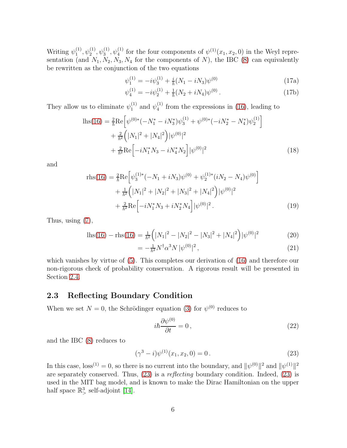Writing  $\psi_1^{(1)}$  $\psi_1^{(1)}, \psi_2^{(1)}, \psi_3^{(1)}, \psi_4^{(1)}$  for the four components of  $\psi^{(1)}(x_1, x_2, 0)$  in the Weyl representation (and  $N_1, N_2, N_3, N_4$  for the components of N), the IBC [\(8\)](#page-3-1) can equivalently be rewritten as the conjunction of the two equations

$$
\psi_1^{(1)} = -i\psi_3^{(1)} + \frac{i}{\hbar}(N_1 - iN_3)\psi^{(0)}
$$
\n(17a)

$$
\psi_4^{(1)} = -i\psi_2^{(1)} + \frac{1}{\hbar}(N_2 + iN_4)\psi^{(0)}.
$$
\n(17b)

They allow us to eliminate  $\psi_1^{(1)}$  $_1^{(1)}$  and  $\psi_4^{(1)}$  $_4<sup>(1)</sup>$  from the expressions in [\(16\)](#page-4-0), leading to

$$
\begin{split} \text{lls}(16) &= \frac{2}{\hbar} \text{Re} \Big[ \psi^{(0)*}(-N_1^* - iN_3^*) \psi_3^{(1)} + \psi^{(0)*}(-iN_2^* - N_4^*) \psi_2^{(1)} \Big] \\ &+ \frac{2}{\hbar^2} \Big( |N_1|^2 + |N_4|^2 \Big) |\psi^{(0)}|^2 \\ &+ \frac{2}{\hbar^2} \text{Re} \Big[ -iN_1^* N_3 - iN_4^* N_2 \Big] |\psi^{(0)}|^2 \end{split} \tag{18}
$$

and

$$
\text{rhs}(16) = \frac{2}{\hbar} \text{Re} \left[ \psi_3^{(1)*}(-N_1 + iN_3) \psi^{(0)} + \psi_2^{(1)*} (iN_2 - N_4) \psi^{(0)} \right] + \frac{1}{\hbar^2} \left( |N_1|^2 + |N_2|^2 + |N_3|^2 + |N_4|^2 \right) |\psi^{(0)}|^2 + \frac{2}{\hbar^2} \text{Re} \left[ -iN_1^* N_3 + iN_2^* N_4 \right] |\psi^{(0)}|^2.
$$
 (19)

Thus, using [\(7\)](#page-3-2),

$$
ln(s(16) - nls(16) = \frac{1}{\hbar^2} \left( |N_1|^2 - |N_2|^2 - |N_3|^2 + |N_4|^2 \right) |\psi^{(0)}|^2 \tag{20}
$$

$$
= -\frac{1}{\hbar^2} N^{\dagger} \alpha^3 N \, |\psi^{(0)}|^2 \,, \tag{21}
$$

which vanishes by virtue of [\(5\)](#page-3-3). This completes our derivation of [\(16\)](#page-4-0) and therefore our non-rigorous check of probability conservation. A rigorous result will be presented in Section [2.4.](#page-6-0)

#### 2.3 Reflecting Boundary Condition

When we set  $N = 0$ , the Schrödinger equation [\(3\)](#page-3-0) for  $\psi^{(0)}$  reduces to

$$
i\hbar \frac{\partial \psi^{(0)}}{\partial t} = 0, \qquad (22)
$$

and the IBC [\(8\)](#page-3-1) reduces to

<span id="page-5-0"></span>
$$
(\gamma^3 - i)\psi^{(1)}(x_1, x_2, 0) = 0.
$$
 (23)

In this case,  $\text{loss}^{(1)} = 0$ , so there is no current into the boundary, and  $\|\psi^{(0)}\|^2$  and  $\|\psi^{(1)}\|^2$ are separately conserved. Thus, [\(23\)](#page-5-0) is a reflecting boundary condition. Indeed, [\(23\)](#page-5-0) is used in the MIT bag model, and is known to make the Dirac Hamiltonian on the upper half space  $\mathbb{R}^3$ , self-adjoint [\[14\]](#page-30-6).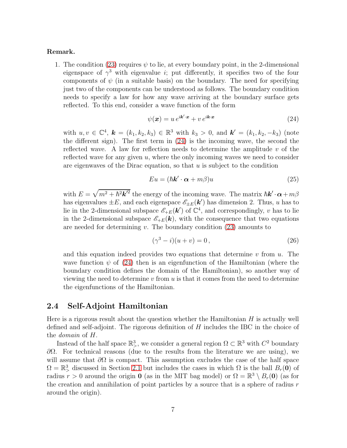#### Remark.

1. The condition [\(23\)](#page-5-0) requires  $\psi$  to lie, at every boundary point, in the 2-dimensional eigenspace of  $\gamma^3$  with eigenvalue *i*; put differently, it specifies two of the four components of  $\psi$  (in a suitable basis) on the boundary. The need for specifying just two of the components can be understood as follows. The boundary condition needs to specify a law for how any wave arriving at the boundary surface gets reflected. To this end, consider a wave function of the form

<span id="page-6-1"></span>
$$
\psi(\mathbf{x}) = u e^{i\mathbf{k}' \cdot \mathbf{x}} + v e^{i\mathbf{k} \cdot \mathbf{x}} \tag{24}
$$

with  $u, v \in \mathbb{C}^4$ ,  $\mathbf{k} = (k_1, k_2, k_3) \in \mathbb{R}^3$  with  $k_3 > 0$ , and  $\mathbf{k}' = (k_1, k_2, -k_3)$  (note the different sign). The first term in [\(24\)](#page-6-1) is the incoming wave, the second the reflected wave. A law for reflection needs to determine the amplitude  $v$  of the reflected wave for any given  $u$ , where the only incoming waves we need to consider are eigenwaves of the Dirac equation, so that  $u$  is subject to the condition

$$
Eu = (\hbar \mathbf{k}' \cdot \mathbf{\alpha} + m\beta)u \tag{25}
$$

with  $E = \sqrt{m^2 + \hbar^2 \mathbf{k'}^2}$  the energy of the incoming wave. The matrix  $\hbar \mathbf{k'} \cdot \boldsymbol{\alpha} + m\beta$ has eigenvalues  $\pm E$ , and each eigenspace  $\mathscr{E}_{\pm E}(\mathbf{k}')$  has dimension 2. Thus, u has to lie in the 2-dimensional subspace  $\mathscr{E}_{+E}(\mathbf{k}')$  of  $\mathbb{C}^4$ , and correspondingly, v has to lie in the 2-dimensional subspace  $\mathscr{E}_{+E}(\mathbf{k})$ , with the consequence that two equations are needed for determining  $v$ . The boundary condition  $(23)$  amounts to

$$
(\gamma^3 - i)(u + v) = 0, \tag{26}
$$

and this equation indeed provides two equations that determine  $v$  from  $u$ . The wave function  $\psi$  of [\(24\)](#page-6-1) then is an eigenfunction of the Hamiltonian (where the boundary condition defines the domain of the Hamiltonian), so another way of viewing the need to determine v from u is that it comes from the need to determine the eigenfunctions of the Hamiltonian.

#### <span id="page-6-0"></span>2.4 Self-Adjoint Hamiltonian

Here is a rigorous result about the question whether the Hamiltonian  $H$  is actually well defined and self-adjoint. The rigorous definition of H includes the IBC in the choice of the domain of H.

Instead of the half space  $\mathbb{R}^3$ , we consider a general region  $\Omega \subset \mathbb{R}^3$  with  $C^2$  boundary  $\partial Ω$ . For technical reasons (due to the results from the literature we are using), we will assume that  $\partial\Omega$  is compact. This assumption excludes the case of the half space  $\Omega = \mathbb{R}^3$  discussed in Section [2.1](#page-2-1) but includes the cases in which  $\Omega$  is the ball  $B_r(\mathbf{0})$  of radius  $r > 0$  around the origin **0** (as in the MIT bag model) or  $\Omega = \mathbb{R}^3 \setminus B_r(\mathbf{0})$  (as for the creation and annihilation of point particles by a source that is a sphere of radius  $r$ around the origin).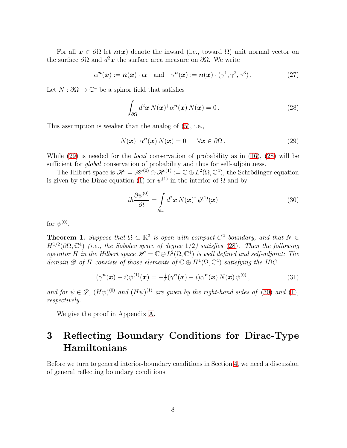For all  $x \in \partial\Omega$  let  $n(x)$  denote the inward (i.e., toward  $\Omega$ ) unit normal vector on the surface  $\partial\Omega$  and  $d^2x$  the surface area measure on  $\partial\Omega$ . We write

$$
\alpha^{n}(\boldsymbol{x}) := n(\boldsymbol{x}) \cdot \boldsymbol{\alpha} \quad \text{and} \quad \gamma^{n}(\boldsymbol{x}) := n(\boldsymbol{x}) \cdot (\gamma^{1}, \gamma^{2}, \gamma^{3}). \tag{27}
$$

Let  $N: \partial\Omega \to \mathbb{C}^4$  be a spinor field that satisfies

<span id="page-7-2"></span>
$$
\int_{\partial\Omega} d^2\mathbf{x} N(\mathbf{x})^\dagger \alpha^n(\mathbf{x}) N(\mathbf{x}) = 0.
$$
\n(28)

This assumption is weaker than the analog of [\(5\)](#page-3-3), i.e.,

<span id="page-7-1"></span>
$$
N(\boldsymbol{x})^{\dagger} \alpha^{\boldsymbol{n}}(\boldsymbol{x}) N(\boldsymbol{x}) = 0 \qquad \forall \boldsymbol{x} \in \partial \Omega.
$$
 (29)

While [\(29\)](#page-7-1) is needed for the local conservation of probability as in [\(16\)](#page-4-0), [\(28\)](#page-7-2) will be sufficient for *global* conservation of probability and thus for self-adjointness.

The Hilbert space is  $\mathscr{H} = \mathscr{H}^{(0)} \oplus \mathscr{H}^{(1)} := \mathbb{C} \oplus L^2(\Omega, \mathbb{C}^4)$ , the Schrödinger equation is given by the Dirac equation [\(1\)](#page-1-1) for  $\psi^{(1)}$  in the interior of  $\Omega$  and by

<span id="page-7-3"></span>
$$
i\hbar \frac{\partial \psi^{(0)}}{\partial t} = \int_{\partial \Omega} d^2 \boldsymbol{x} \, N(\boldsymbol{x})^\dagger \, \psi^{(1)}(\boldsymbol{x}) \tag{30}
$$

for  $\psi^{(0)}$ .

<span id="page-7-4"></span>**Theorem 1.** Suppose that  $\Omega \subset \mathbb{R}^3$  is open with compact  $C^2$  boundary, and that  $N \in$  $H^{1/2}(\partial\Omega,\mathbb{C}^4)$  (i.e., the Sobolev space of degree 1/2) satisfies [\(28\)](#page-7-2). Then the following operator H in the Hilbert space  $\mathscr{H} = \mathbb{C} \oplus L^2(\Omega, \mathbb{C}^4)$  is well defined and self-adjoint: The domain  $\mathscr{D}$  of H consists of those elements of  $\mathbb{C} \oplus H^1(\Omega, \mathbb{C}^4)$  satisfying the IBC

<span id="page-7-5"></span>
$$
(\gamma^{\mathbf{n}}(\boldsymbol{x}) - i)\psi^{(1)}(\boldsymbol{x}) = -\frac{i}{\hbar}(\gamma^{\mathbf{n}}(\boldsymbol{x}) - i)\alpha^{\mathbf{n}}(\boldsymbol{x}) N(\boldsymbol{x}) \psi^{(0)}, \qquad (31)
$$

and for  $\psi \in \mathscr{D}$ ,  $(H\psi)^{(0)}$  and  $(H\psi)^{(1)}$  $(H\psi)^{(1)}$  $(H\psi)^{(1)}$  are given by the right-hand sides of [\(30\)](#page-7-3) and (1), respectively.

We give the proof in Appendix [A.](#page-24-0)

# <span id="page-7-0"></span>3 Reflecting Boundary Conditions for Dirac-Type Hamiltonians

Before we turn to general interior-boundary conditions in Section [4,](#page-17-0) we need a discussion of general reflecting boundary conditions.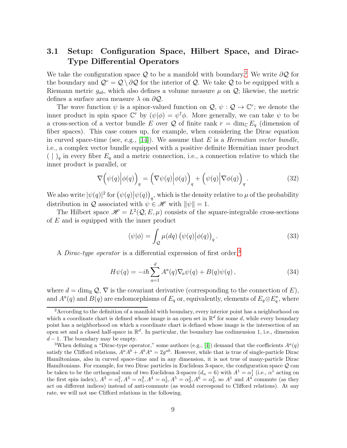### <span id="page-8-1"></span>3.1 Setup: Configuration Space, Hilbert Space, and Dirac-Type Differential Operators

We take the configuration space Q to be a manifold with boundary.<sup>[2](#page-8-2)</sup> We write  $\partial \mathcal{Q}$  for the boundary and  $\mathcal{Q} \circ \mathcal{Q} \setminus \partial \mathcal{Q}$  for the interior of  $\mathcal{Q}$ . We take  $\mathcal Q$  to be equipped with a Riemann metric  $g_{ab}$ , which also defines a volume measure  $\mu$  on  $\mathcal{Q}$ ; likewise, the metric defines a surface area measure  $\lambda$  on  $\partial \mathcal{Q}$ .

The wave function  $\psi$  is a spinor-valued function on  $\mathcal{Q}, \psi : \mathcal{Q} \to \mathbb{C}^r$ ; we denote the inner product in spin space  $\mathbb{C}^r$  by  $(\psi|\phi) = \psi^{\dagger} \phi$ . More generally, we can take  $\psi$  to be a cross-section of a vector bundle E over Q of finite rank  $r = \dim_{\mathbb{C}} E_q$  (dimension of fiber spaces). This case comes up, for example, when considering the Dirac equation in curved space-time (see, e.g., [\[14\]](#page-30-6)). We assume that  $E$  is a *Hermitian vector bundle*, i.e., a complex vector bundle equipped with a positive definite Hermitian inner product  $( \mid )_q$  in every fiber  $E_q$  and a metric connection, i.e., a connection relative to which the inner product is parallel, or

<span id="page-8-4"></span>
$$
\nabla \left( \psi(q) \middle| \phi(q) \right)_q = \left( \nabla \psi(q) \middle| \phi(q) \right)_q + \left( \psi(q) \middle| \nabla \phi(q) \right)_q. \tag{32}
$$

We also write  $|\psi(q)|^2$  for  $(\psi(q)|\psi(q))_q$ , which is the density relative to  $\mu$  of the probability distribution in Q associated with  $\psi \in \mathcal{H}$  with  $\|\psi\| = 1$ .

The Hilbert space  $\mathcal{H} = L^2(\mathcal{Q}, E, \mu)$  consists of the square-integrable cross-sections of  $E$  and is equipped with the inner product

<span id="page-8-5"></span>
$$
\langle \psi | \phi \rangle = \int_{Q} \mu(dq) \left( \psi(q) | \phi(q) \right)_{q}.
$$
 (33)

A *Dirac-type operator* is a differential expression of first order,<sup>[3](#page-8-0)</sup>

<span id="page-8-3"></span>
$$
H\psi(q) = -i\hbar \sum_{a=1}^{d} A^{a}(q) \nabla_{a} \psi(q) + B(q) \psi(q) , \qquad (34)
$$

where  $d = \dim_{\mathbb{R}} Q$ ,  $\nabla$  is the covariant derivative (corresponding to the connection of E), and  $A^a(q)$  and  $B(q)$  are endomorphisms of  $E_q$  or, equivalently, elements of  $E_q \otimes E_q^*$ , where

<span id="page-8-2"></span><sup>&</sup>lt;sup>2</sup>According to the definition of a manifold with boundary, every interior point has a neighborhood on which a coordinate chart is defined whose image is an open set in  $\mathbb{R}^d$  for some d, while every boundary point has a neighborhood on which a coordinate chart is defined whose image is the intersection of an open set and a closed half-space in  $\mathbb{R}^d$ . In particular, the boundary has codimension 1, i.e., dimension  $d-1$ . The boundary may be empty.

<span id="page-8-0"></span><sup>&</sup>lt;sup>3</sup>When defining a "Dirac-type operator," some authors (e.g., [\[4\]](#page-29-2)) demand that the coefficients  $A^a(q)$ satisfy the Clifford relations,  $A^a A^b + A^b A^a = 2g^{ab}$ . However, while that is true of single-particle Dirac Hamiltonians, also in curved space-time and in any dimension, it is not true of many-particle Dirac Hamiltonians. For example, for two Dirac particles in Euclidean 3-space, the configuration space  $\mathcal Q$  can be taken to be the orthogonal sum of two Euclidean 3-spaces  $(d_n = 6)$  with  $A^1 = \alpha_1^1$  (i.e.,  $\alpha_1^1$  acting on the first spin index),  $A^2 = \alpha_1^2$ ,  $A^3 = \alpha_1^3$ ,  $A^4 = \alpha_2^1$ ,  $A^5 = \alpha_2^2$ ,  $A^6 = \alpha_2^3$ , so  $A^1$  and  $A^4$  commute (as they act on different indices) instead of anti-commute (as would correspond to Clifford relations). At any rate, we will not use Clifford relations in the following.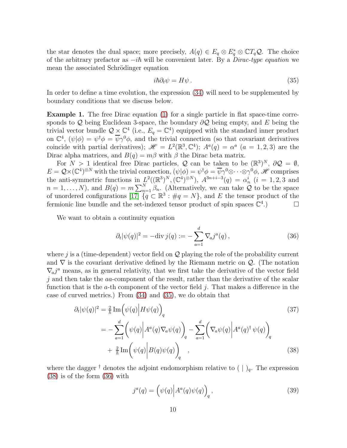the star denotes the dual space; more precisely,  $A(q) \in E_q \otimes E_q^* \otimes \mathbb{C}T_q\mathcal{Q}$ . The choice of the arbitrary prefactor as  $-i\hbar$  will be convenient later. By a *Dirac-type equation* we mean the associated Schrödinger equation

<span id="page-9-0"></span>
$$
i\hbar \partial_t \psi = H\psi. \tag{35}
$$

In order to define a time evolution, the expression  $(34)$  will need to be supplemented by boundary conditions that we discuss below.

Example 1. The free Dirac equation [\(1\)](#page-1-1) for a single particle in flat space-time corresponds to Q being Euclidean 3-space, the boundary  $\partial \mathcal{Q}$  being empty, and E being the trivial vector bundle  $Q \times \mathbb{C}^4$  (i.e.,  $E_q = \mathbb{C}^4$ ) equipped with the standard inner product on  $\mathbb{C}^4$ ,  $(\psi|\phi) = \psi^{\dagger}\phi = \overline{\psi}\gamma^0\phi$ , and the trivial connection (so that covariant derivatives coincide with partial derivatives);  $\mathscr{H} = L^2(\mathbb{R}^3, \mathbb{C}^4)$ ;  $A^a(q) = \alpha^a$   $(a = 1, 2, 3)$  are the Dirac alpha matrices, and  $B(q) = m\beta$  with  $\beta$  the Dirac beta matrix.

For  $N > 1$  identical free Dirac particles, Q can be taken to be  $(\mathbb{R}^3)^N$ ,  $\partial \mathcal{Q} = \emptyset$ ,  $E = \mathcal{Q} \times (\mathbb{C}^4)^{\otimes N}$  with the trivial connection,  $(\psi | \phi) = \psi^{\dagger} \phi = \overline{\psi} \gamma^0 \otimes \cdots \otimes \gamma^0 \phi$ , H comprises the anti-symmetric functions in  $L^2((\mathbb{R}^3)^N, (\mathbb{C}^4)^{\otimes N})$ ,  $A^{3n+i-3}(q) = \alpha_n^i$   $(i = 1, 2, 3$  and  $n=1,\ldots,N$ , and  $B(q)=m\sum_{n=1}^{N}\beta_n$ . (Alternatively, we can take  $\mathcal Q$  to be the space of unordered configurations  $[17]$   $\{q \in \mathbb{R}^3 : \#q = N\}$ , and E the tensor product of the fermionic line bundle and the set-indexed tensor product of spin spaces  $\mathbb{C}^4$ .)

We want to obtain a continuity equation

<span id="page-9-2"></span>
$$
\partial_t |\psi(q)|^2 = -\text{div}\, j(q) := -\sum_{a=1}^d \nabla_a j^a(q) \,, \tag{36}
$$

where j is a (time-dependent) vector field on  $\mathcal Q$  playing the role of the probability current and  $\nabla$  is the covariant derivative defined by the Riemann metric on  $\mathcal{Q}$ . (The notation  $\nabla_a j^a$  means, as in general relativity, that we first take the derivative of the vector field  $j$  and then take the  $aa$ -component of the result, rather than the derivative of the scalar function that is the a-th component of the vector field j. That makes a difference in the case of curved metrics.) From [\(34\)](#page-8-3) and [\(35\)](#page-9-0), we do obtain that

$$
\partial_t |\psi(q)|^2 = \frac{2}{\hbar} \operatorname{Im} \left( \psi(q) \middle| H \psi(q) \right)_q
$$
\n
$$
= -\sum_{a=1}^d \left( \psi(q) \middle| A^a(q) \nabla_a \psi(q) \right)_q - \sum_{a=1}^d \left( \nabla_a \psi(q) \middle| A^a(q)^\dagger \psi(q) \right)_q
$$
\n
$$
+ \frac{2}{\hbar} \operatorname{Im} \left( \psi(q) \middle| B(q) \psi(q) \right)_q , \tag{38}
$$

where the dagger <sup>†</sup> denotes the adjoint endomorphism relative to  $( \cdot )_q$ . The expression [\(38\)](#page-9-1) is of the form [\(36\)](#page-9-2) with

<span id="page-9-3"></span><span id="page-9-1"></span>
$$
j^{a}(q) = \left(\psi(q)\middle|A^{a}(q)\psi(q)\right)_{q},\tag{39}
$$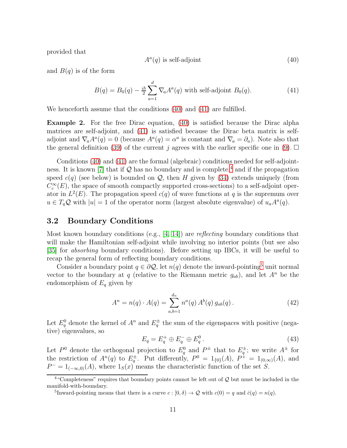provided that

<span id="page-10-0"></span>
$$
A^a(q) \text{ is self-adjoint} \tag{40}
$$

and  $B(q)$  is of the form

<span id="page-10-1"></span>
$$
B(q) = B_0(q) - \frac{i\hbar}{2} \sum_{a=1}^d \nabla_a A^a(q)
$$
 with self-adjoint  $B_0(q)$ . (41)

We henceforth assume that the conditions [\(40\)](#page-10-0) and [\(41\)](#page-10-1) are fulfilled.

Example 2. For the free Dirac equation, [\(40\)](#page-10-0) is satisfied because the Dirac alpha matrices are self-adjoint, and [\(41\)](#page-10-1) is satisfied because the Dirac beta matrix is selfadjoint and  $\nabla_a A^a(q) = 0$  (because  $A^a(q) = \alpha^a$  is constant and  $\nabla_a = \partial_a$ ). Note also that the general definition [\(39\)](#page-9-3) of the current j agrees with the earlier specific one in [\(9\)](#page-4-1).  $\Box$ 

Conditions [\(40\)](#page-10-0) and [\(41\)](#page-10-1) are the formal (algebraic) conditions needed for self-adjoint-ness. It is known [\[7\]](#page-29-3) that if  $Q$  has no boundary and is complete,<sup>[4](#page-10-2)</sup> and if the propagation speed  $c(q)$  (see below) is bounded on  $Q$ , then H given by [\(34\)](#page-8-3) extends uniquely (from  $C_c^{\infty}(E)$ , the space of smooth compactly supported cross-sections) to a self-adjoint operator in  $L^2(E)$ . The propagation speed  $c(q)$  of wave functions at q is the supremum over  $u \in T_q\mathcal{Q}$  with  $|u|=1$  of the operator norm (largest absolute eigenvalue) of  $u_a A^a(q)$ .

#### 3.2 Boundary Conditions

Most known boundary conditions (e.g., [\[4,](#page-29-2) [14\]](#page-30-6)) are reflecting boundary conditions that will make the Hamiltonian self-adjoint while involving no interior points (but see also [\[35\]](#page-31-10) for absorbing boundary conditions). Before setting up IBCs, it will be useful to recap the general form of reflecting boundary conditions.

Consider a boundary point  $q \in \partial \mathcal{Q}$ , let  $n(q)$  denote the inward-pointing<sup>[5](#page-10-3)</sup> unit normal vector to the boundary at q (relative to the Riemann metric  $g_{ab}$ ), and let  $A^n$  be the endomorphism of  $E_q$  given by

<span id="page-10-4"></span>
$$
A^{n} = n(q) \cdot A(q) = \sum_{a,b=1}^{d_{n}} n^{a}(q) A^{b}(q) g_{ab}(q).
$$
 (42)

Let  $E_q^0$  denote the kernel of  $A^n$  and  $E_q^{\pm}$  the sum of the eigenspaces with positive (negative) eigenvalues, so

$$
E_q = E_q^+ \oplus E_q^- \oplus E_q^0. \tag{43}
$$

Let  $P^0$  denote the orthogonal projection to  $E_q^0$  and  $P^{\pm}$  that to  $E_q^{\pm}$ ; we write  $A^{\pm}$  for the restriction of  $A^n(q)$  to  $E_q^{\pm}$ . Put differently,  $P^0 = 1_{\{0\}}(A)$ ,  $P^{\pm} = 1_{(0,\infty)}(A)$ , and  $P^- = 1_{(-\infty,0)}(A)$ , where  $1_S(x)$  means the characteristic function of the set S.

 $4$ "Completeness" requires that boundary points cannot be left out of  $Q$  but must be included in the manifold-with-boundary.

<span id="page-10-3"></span><span id="page-10-2"></span><sup>&</sup>lt;sup>5</sup>Inward-pointing means that there is a curve  $c : [0, \delta) \to \mathcal{Q}$  with  $c(0) = q$  and  $\dot{c}(q) = n(q)$ .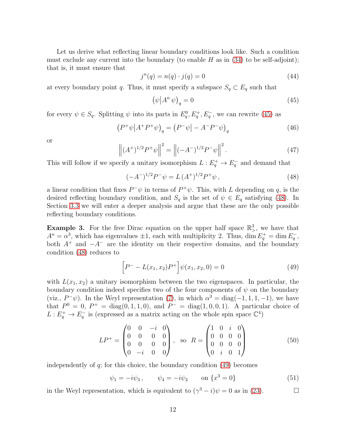Let us derive what reflecting linear boundary conditions look like. Such a condition must exclude any current into the boundary (to enable  $H$  as in [\(34\)](#page-8-3) to be self-adjoint); that is, it must ensure that

$$
j^{n}(q) = n(q) \cdot j(q) = 0 \tag{44}
$$

at every boundary point q. Thus, it must specify a subspace  $S_q \subset E_q$  such that

<span id="page-11-0"></span>
$$
\left(\psi \middle| A^n \psi\right)_q = 0\tag{45}
$$

for every  $\psi \in S_q$ . Splitting  $\psi$  into its parts in  $E_q^0, E_q^+, E_q^-$ , we can rewrite [\(45\)](#page-11-0) as

$$
\left(P^+\psi\middle|A^+P^+\psi\right)_q = \left(P^-\psi\middle| - A^-P^-\psi\right)_q\tag{46}
$$

or

$$
\left\| (A^+)^{1/2} P^+ \psi \right\|^2 = \left\| (-A^-)^{1/2} P^- \psi \right\|^2.
$$
 (47)

This will follow if we specify a unitary isomorphism  $L: E_q^+ \to E_q^-$  and demand that

<span id="page-11-1"></span>
$$
(-A^{-})^{1/2}P^{-}\psi = L(A^{+})^{1/2}P^{+}\psi,
$$
\n(48)

a linear condition that fixes  $P^{\dagger}\psi$  in terms of  $P^{\dagger}\psi$ . This, with L depending on q, is the desired reflecting boundary condition, and  $S_q$  is the set of  $\psi \in E_q$  satisfying [\(48\)](#page-11-1). In Section [3.3](#page-12-0) we will enter a deeper analysis and argue that these are the only possible reflecting boundary conditions.

**Example 3.** For the free Dirac equation on the upper half space  $\mathbb{R}^3$ , we have that  $A^{n} = \alpha^{3}$ , which has eigenvalues  $\pm 1$ , each with multiplicity 2. Thus, dim  $E_{q}^{+} = \dim E_{q}^{-}$ , both  $A^+$  and  $-A^-$  are the identity on their respective domains, and the boundary condition [\(48\)](#page-11-1) reduces to

<span id="page-11-2"></span>
$$
\[P^- - L(x_1, x_2)P^+\]\psi(x_1, x_2, 0) = 0\tag{49}
$$

with  $L(x_1, x_2)$  a unitary isomorphism between the two eigenspaces. In particular, the boundary condition indeed specifies two of the four components of  $\psi$  on the boundary (viz.,  $P^-\psi$ ). In the Weyl representation [\(7\)](#page-3-2), in which  $\alpha^3 = \text{diag}(-1, 1, 1, -1)$ , we have that  $P^0 = 0$ ,  $P^+ = \text{diag}(0, 1, 1, 0)$ , and  $P^- = \text{diag}(1, 0, 0, 1)$ . A particular choice of  $L: E_q^+ \to E_q^-$  is (expressed as a matrix acting on the whole spin space  $\mathbb{C}^4$ )

<span id="page-11-3"></span>
$$
LP^{+} = \begin{pmatrix} 0 & 0 & -i & 0 \\ 0 & 0 & 0 & 0 \\ 0 & 0 & 0 & 0 \\ 0 & -i & 0 & 0 \end{pmatrix}, \text{ so } R = \begin{pmatrix} 1 & 0 & i & 0 \\ 0 & 0 & 0 & 0 \\ 0 & 0 & 0 & 0 \\ 0 & i & 0 & 1 \end{pmatrix}
$$
 (50)

independently of  $q$ ; for this choice, the boundary condition  $(49)$  becomes

$$
\psi_1 = -i\psi_3, \qquad \psi_4 = -i\psi_2 \qquad \text{on } \{x^3 = 0\}
$$
\n(51)

in the Weyl representation, which is equivalent to  $(\gamma^3 - i)\psi = 0$  as in [\(23\)](#page-5-0).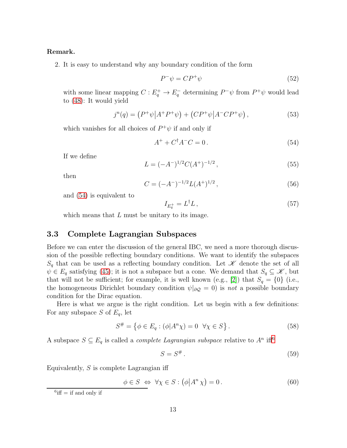#### Remark.

2. It is easy to understand why any boundary condition of the form

$$
P^{-}\psi = CP^{+}\psi \tag{52}
$$

with some linear mapping  $C: E_q^+ \to E_q^-$  determining  $P^- \psi$  from  $P^+ \psi$  would lead to [\(48\)](#page-11-1): It would yield

$$
j^{n}(q) = (P^{+}\psi|A^{+}P^{+}\psi) + (CP^{+}\psi|A^{-}CP^{+}\psi), \qquad (53)
$$

which vanishes for all choices of  $P^+\psi$  if and only if

<span id="page-12-1"></span>
$$
A^+ + C^\dagger A^- C = 0. \tag{54}
$$

If we define

$$
L = (-A^{-})^{1/2} C (A^{+})^{-1/2}, \qquad (55)
$$

then

$$
C = (-A^{-})^{-1/2} L(A^{+})^{1/2}, \qquad (56)
$$

and [\(54\)](#page-12-1) is equivalent to

$$
I_{E_q^+} = L^\dagger L \,,\tag{57}
$$

which means that  $L$  must be unitary to its image.

#### <span id="page-12-0"></span>3.3 Complete Lagrangian Subspaces

Before we can enter the discussion of the general IBC, we need a more thorough discussion of the possible reflecting boundary conditions. We want to identify the subspaces  $S_q$  that can be used as a reflecting boundary condition. Let  $\mathscr K$  denote the set of all  $\psi \in E_q$  satisfying [\(45\)](#page-11-0); it is not a subspace but a cone. We demand that  $S_q \subseteq \mathscr{K}$ , but that will not be sufficient; for example, it is well known (e.g., [\[2\]](#page-29-4)) that  $S_q = \{0\}$  (i.e., the homogeneous Dirichlet boundary condition  $\psi|_{\partial \mathcal{Q}} = 0$  is not a possible boundary condition for the Dirac equation.

Here is what we argue is the right condition. Let us begin with a few definitions: For any subspace S of  $E_q$ , let

$$
S^{\#} = \left\{ \phi \in E_q : (\phi | A^n \chi) = 0 \quad \forall \chi \in S \right\}.
$$
\n
$$
(58)
$$

A subspace  $S \subseteq E_q$  is called a *complete Lagrangian subspace* relative to  $A^n$  iff<sup>[6](#page-12-2)</sup>

$$
S = S^{\#} \tag{59}
$$

Equivalently,  $S$  is complete Lagrangian iff

 $\phi \in S \iff \forall \chi \in S : (\phi | A^n \chi) = 0.$  (60)

<span id="page-12-2"></span> ${}^{6}$ iff = if and only if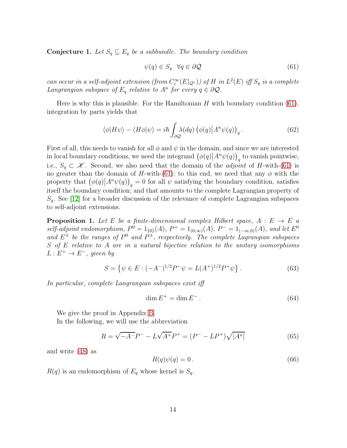<span id="page-13-2"></span>**Conjecture 1.** Let  $S_q \subseteq E_q$  be a subbundle. The boundary condition

<span id="page-13-0"></span>
$$
\psi(q) \in S_q \quad \forall q \in \partial \mathcal{Q} \tag{61}
$$

can occur in a self-adjoint extension (from  $C_c^{\infty}(E|_{\mathcal{Q}^{\circ}})$ ) of H in  $L^2(E)$  iff  $S_q$  is a complete Langrangian subspace of  $E_q$  relative to  $A^n$  for every  $q \in \partial \mathcal{Q}$ .

Here is why this is plausible. For the Hamiltonian  $H$  with boundary condition [\(61\)](#page-13-0), integration by parts yields that

$$
\langle \phi | H \psi \rangle - \langle H \phi | \psi \rangle = i\hbar \int_{\partial \mathcal{Q}} \lambda(dq) \left( \phi(q) \left| A^n \psi(q) \right\rangle_q. \tag{62}
$$

First of all, this needs to vanish for all  $\phi$  and  $\psi$  in the domain, and since we are interested in local boundary conditions, we need the integrand  $(\phi(q)|A^n\psi(q))_q$  to vanish pointwise, i.e.,  $S_q \subset \mathscr{K}$ . Second, we also need that the domain of the *adjoint* of H-with-[\(61\)](#page-13-0) is no greater than the domain of H-with-[\(61\)](#page-13-0); to this end, we need that any  $\phi$  with the property that  $(\phi(q) | A^n \psi(q))_q = 0$  for all  $\psi$  satisfying the boundary condition, satisfies itself the boundary condition; and that amounts to the complete Lagrangian property of  $S_q$ . See [\[12\]](#page-30-9) for a broader discussion of the relevance of complete Lagrangian subspaces to self-adjoint extensions.

<span id="page-13-3"></span>**Proposition 1.** Let E be a finite-dimensional complex Hilbert space,  $A : E \rightarrow E$  a self-adjoint endomorphism,  $P^0 = 1_{\{0\}}(A)$ ,  $P^+ = 1_{(0,\infty)}(A)$ ,  $P^- = 1_{(-\infty,0)}(A)$ , and let  $E^0$ and  $E^{\pm}$  be the ranges of  $P^0$  and  $P^{\pm}$ , respectively. The complete Lagrangian subspaces S of E relative to A are in a natural bijective relation to the unitary isomorphisms  $L: E^+ \to E^-$ , given by

<span id="page-13-4"></span>
$$
S = \left\{ \psi \in E : (-A^{-})^{1/2} P^{-} \psi = L(A^{+})^{1/2} P^{+} \psi \right\}.
$$
 (63)

In particular, complete Langrangian subspaces exist iff

$$
\dim E^+ = \dim E^- \,. \tag{64}
$$

We give the proof in Appendix [B.](#page-27-0)

In the following, we will use the abbreviation

<span id="page-13-1"></span>
$$
R = \sqrt{-A^{-}}P^{-} - L\sqrt{A^{+}}P^{+} = (P^{-} - LP^{+})\sqrt{|A^{n}|}
$$
\n(65)

and write [\(48\)](#page-11-1) as

$$
R(q)\psi(q) = 0.
$$
\n<sup>(66)</sup>

 $R(q)$  is an endomorphism of  $E_q$  whose kernel is  $S_q$ .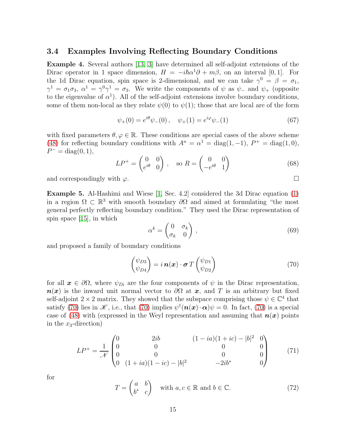#### 3.4 Examples Involving Reflecting Boundary Conditions

Example 4. Several authors [\[13,](#page-30-10) [3\]](#page-29-5) have determined all self-adjoint extensions of the Dirac operator in 1 space dimension,  $H = -i\hbar\alpha^1\partial + m\beta$ , on an interval [0, 1]. For the 1d Dirac equation, spin space is 2-dimensional, and we can take  $\gamma^0 = \beta = \sigma_1$ ,  $\gamma^1 = \sigma_1 \sigma_3$ ,  $\alpha^1 = \gamma^0 \gamma^1 = \sigma_3$ . We write the components of  $\psi$  as  $\psi$ <sub>-</sub> and  $\psi$ <sub>+</sub> (opposite to the eigenvalue of  $\alpha^1$ ). All of the self-adjoint extensions involve boundary conditions, some of them non-local as they relate  $\psi(0)$  to  $\psi(1)$ ; those that are local are of the form

$$
\psi_{+}(0) = e^{i\theta}\psi_{-}(0), \quad \psi_{+}(1) = e^{i\varphi}\psi_{-}(1)
$$
\n(67)

with fixed parameters  $\theta, \varphi \in \mathbb{R}$ . These conditions are special cases of the above scheme [\(48\)](#page-11-1) for reflecting boundary conditions with  $A^n = \alpha^1 = \text{diag}(1, -1)$ ,  $P^+ = \text{diag}(1, 0)$ ,  $P^{-} = \text{diag}(0, 1),$ 

$$
LP^{+} = \begin{pmatrix} 0 & 0 \\ e^{i\theta} & 0 \end{pmatrix}, \quad \text{so } R = \begin{pmatrix} 0 & 0 \\ -e^{i\theta} & 1 \end{pmatrix}
$$
 (68)

and correspondingly with  $\varphi$ .

Example 5. Al-Hashimi and Wiese [\[1,](#page-29-6) Sec. 4.2] considered the 3d Dirac equation [\(1\)](#page-1-1) in a region  $\Omega \subset \mathbb{R}^3$  with smooth boundary  $\partial\Omega$  and aimed at formulating "the most general perfectly reflecting boundary condition." They used the Dirac representation of spin space [\[15\]](#page-30-7), in which

$$
\alpha^k = \begin{pmatrix} 0 & \sigma_k \\ \sigma_k & 0 \end{pmatrix},\tag{69}
$$

and proposed a family of boundary conditions

<span id="page-14-0"></span>
$$
\begin{pmatrix} \psi_{D3} \\ \psi_{D4} \end{pmatrix} = i \, \boldsymbol{n}(\boldsymbol{x}) \cdot \boldsymbol{\sigma} \, T \begin{pmatrix} \psi_{D1} \\ \psi_{D2} \end{pmatrix} \tag{70}
$$

for all  $x \in \partial\Omega$ , where  $\psi_{Di}$  are the four components of  $\psi$  in the Dirac representation,  $n(x)$  is the inward unit normal vector to  $\partial\Omega$  at x, and T is an arbitrary but fixed self-adjoint  $2 \times 2$  matrix. They showed that the subspace comprising those  $\psi \in \mathbb{C}^4$  that satisfy [\(70\)](#page-14-0) lies in  $\mathscr{K}$ , i.e., that (70) implies  $\psi^{\dagger}(\boldsymbol{n}(\boldsymbol{x}) \cdot \boldsymbol{\alpha}) \psi = 0$ . In fact, (70) is a special case of [\(48\)](#page-11-1) with (expressed in the Weyl representation and assuming that  $n(x)$  points in the  $x_3$ -direction)

<span id="page-14-1"></span>
$$
LP^{+} = \frac{1}{\mathcal{N}} \begin{pmatrix} 0 & 2ib & (1 - ia)(1 + ic) - |b|^{2} & 0 \\ 0 & 0 & 0 & 0 \\ 0 & 0 & 0 & 0 \\ 0 & (1 + ia)(1 - ic) - |b|^{2} & -2ib^{*} & 0 \end{pmatrix}
$$
(71)

for

$$
T = \begin{pmatrix} a & b \\ b^* & c \end{pmatrix} \quad \text{with } a, c \in \mathbb{R} \text{ and } b \in \mathbb{C}. \tag{72}
$$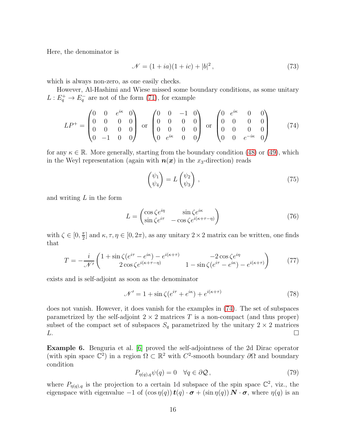Here, the denominator is

$$
\mathcal{N} = (1 + ia)(1 + ic) + |b|^2, \tag{73}
$$

which is always non-zero, as one easily checks.

However, Al-Hashimi and Wiese missed some boundary conditions, as some unitary  $L: E_q^+ \to E_q^-$  are not of the form [\(71\)](#page-14-1), for example

<span id="page-15-0"></span>
$$
LP^{+} = \begin{pmatrix} 0 & 0 & e^{i\kappa} & 0 \\ 0 & 0 & 0 & 0 \\ 0 & 0 & 0 & 0 \\ 0 & -1 & 0 & 0 \end{pmatrix} \text{ or } \begin{pmatrix} 0 & 0 & -1 & 0 \\ 0 & 0 & 0 & 0 \\ 0 & 0 & 0 & 0 \\ 0 & e^{i\kappa} & 0 & 0 \end{pmatrix} \text{ or } \begin{pmatrix} 0 & e^{i\kappa} & 0 & 0 \\ 0 & 0 & 0 & 0 \\ 0 & 0 & 0 & 0 \\ 0 & 0 & e^{-i\kappa} & 0 \end{pmatrix}
$$
(74)

for any  $\kappa \in \mathbb{R}$ . More generally, starting from the boundary condition [\(48\)](#page-11-1) or [\(49\)](#page-11-2), which in the Weyl representation (again with  $n(x)$  in the x<sub>3</sub>-direction) reads

$$
\begin{pmatrix} \psi_1 \\ \psi_4 \end{pmatrix} = L \begin{pmatrix} \psi_2 \\ \psi_3 \end{pmatrix} , \qquad (75)
$$

and writing  $L$  in the form

$$
L = \begin{pmatrix} \cos \zeta e^{i\eta} & \sin \zeta e^{i\kappa} \\ \sin \zeta e^{i\tau} & -\cos \zeta e^{i(\kappa + \tau - \eta)} \end{pmatrix}
$$
 (76)

with  $\zeta \in [0, \frac{\pi}{2}]$  $\frac{\pi}{2}$  and  $\kappa, \tau, \eta \in [0, 2\pi)$ , as any unitary  $2 \times 2$  matrix can be written, one finds that

$$
T = -\frac{i}{\mathcal{N}'} \left( \frac{1 + \sin \zeta (e^{i\tau} - e^{i\kappa}) - e^{i(\kappa + \tau)}}{2 \cos \zeta e^{i(\kappa + \tau - \eta)}} \right) \qquad \qquad -\sin \zeta (e^{i\tau} - e^{i\kappa}) - e^{i(\kappa + \tau)} \right) \tag{77}
$$

exists and is self-adjoint as soon as the denominator

$$
\mathcal{N}' = 1 + \sin \zeta (e^{i\tau} + e^{i\kappa}) + e^{i(\kappa + \tau)}
$$
\n<sup>(78)</sup>

does not vanish. However, it does vanish for the examples in [\(74\)](#page-15-0). The set of subspaces parametrized by the self-adjoint  $2 \times 2$  matrices T is a non-compact (and thus proper) subset of the compact set of subspaces  $S_q$  parametrized by the unitary  $2 \times 2$  matrices  $L$ .  $L.$ 

Example 6. Benguria et al. [\[6\]](#page-29-7) proved the self-adjointness of the 2d Dirac operator (with spin space  $\mathbb{C}^2$ ) in a region  $\Omega \subset \mathbb{R}^2$  with  $C^2$ -smooth boundary  $\partial\Omega$  and boundary condition

<span id="page-15-1"></span>
$$
P_{\eta(q),q}\psi(q) = 0 \quad \forall q \in \partial \mathcal{Q},\tag{79}
$$

where  $P_{\eta(q),q}$  is the projection to a certain 1d subspace of the spin space  $\mathbb{C}^2$ , viz., the eigenspace with eigenvalue  $-1$  of  $(\cos \eta(q))$   $t(q) \cdot \sigma + (\sin \eta(q))$   $N \cdot \sigma$ , where  $\eta(q)$  is an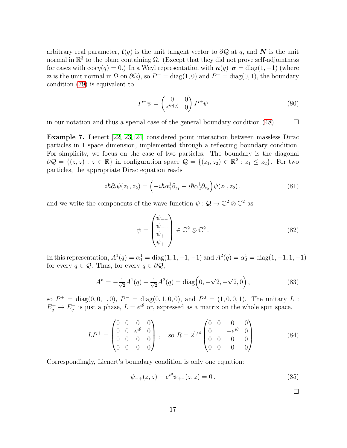arbitrary real parameter,  $t(q)$  is the unit tangent vector to  $\partial Q$  at q, and N is the unit normal in  $\mathbb{R}^3$  to the plane containing  $\Omega$ . (Except that they did not prove self-adjointness for cases with  $\cos \eta(q) = 0$ .) In a Weyl representation with  $\mathbf{n}(q) \cdot \boldsymbol{\sigma} = \text{diag}(1, -1)$  (where n is the unit normal in  $\Omega$  on  $\partial\Omega$ , so  $P^+ = \text{diag}(1,0)$  and  $P^- = \text{diag}(0,1)$ , the boundary condition [\(79\)](#page-15-1) is equivalent to

$$
P^{-}\psi = \begin{pmatrix} 0 & 0\\ e^{i\eta(q)} & 0 \end{pmatrix} P^{+}\psi
$$
\n(80)

in our notation and thus a special case of the general boundary condition [\(48\)](#page-11-1).  $\Box$ 

Example 7. Lienert [\[22,](#page-30-11) [23,](#page-30-12) [24\]](#page-31-11) considered point interaction between massless Dirac particles in 1 space dimension, implemented through a reflecting boundary condition. For simplicity, we focus on the case of two particles. The boundary is the diagonal  $\partial \mathcal{Q} = \{(z, z) : z \in \mathbb{R}\}\$ in configuration space  $\mathcal{Q} = \{(z_1, z_2) \in \mathbb{R}^2 : z_1 \leq z_2\}$ . For two particles, the appropriate Dirac equation reads

$$
i\hbar \partial_t \psi(z_1, z_2) = \left(-i\hbar \alpha_1^1 \partial_{z_1} - i\hbar \alpha_2^1 \partial_{z_2}\right) \psi(z_1, z_2), \qquad (81)
$$

and we write the components of the wave function  $\psi : \mathcal{Q} \to \mathbb{C}^2 \otimes \mathbb{C}^2$  as

$$
\psi = \begin{pmatrix} \psi_{--} \\ \psi_{++} \\ \psi_{+-} \\ \psi_{++} \end{pmatrix} \in \mathbb{C}^2 \otimes \mathbb{C}^2.
$$
 (82)

In this representation,  $A^1(q) = \alpha_1^1 = \text{diag}(1, 1, -1, -1)$  and  $A^2(q) = \alpha_2^1 = \text{diag}(1, -1, 1, -1)$ for every  $q \in \mathcal{Q}$ . Thus, for every  $q \in \partial \mathcal{Q}$ ,

<span id="page-16-0"></span>
$$
A^{n} = -\frac{1}{\sqrt{2}}A^{1}(q) + \frac{1}{\sqrt{2}}A^{2}(q) = \text{diag}\left(0, -\sqrt{2}, +\sqrt{2}, 0\right),\tag{83}
$$

so  $P^+ = \text{diag}(0, 0, 1, 0), P^- = \text{diag}(0, 1, 0, 0), \text{ and } P^0 = (1, 0, 0, 1).$  The unitary L:  $E_q^+ \to E_q^-$  is just a phase,  $L = e^{i\theta}$  or, expressed as a matrix on the whole spin space,

<span id="page-16-1"></span>
$$
LP^{+} = \begin{pmatrix} 0 & 0 & 0 & 0 \\ 0 & 0 & e^{i\theta} & 0 \\ 0 & 0 & 0 & 0 \\ 0 & 0 & 0 & 0 \end{pmatrix}, \quad \text{so } R = 2^{1/4} \begin{pmatrix} 0 & 0 & 0 & 0 \\ 0 & 1 & -e^{i\theta} & 0 \\ 0 & 0 & 0 & 0 \\ 0 & 0 & 0 & 0 \end{pmatrix}.
$$
 (84)

Correspondingly, Lienert's boundary condition is only one equation:

<span id="page-16-2"></span>
$$
\psi_{-+}(z, z) - e^{i\theta} \psi_{+-}(z, z) = 0.
$$
\n(85)

 $\Box$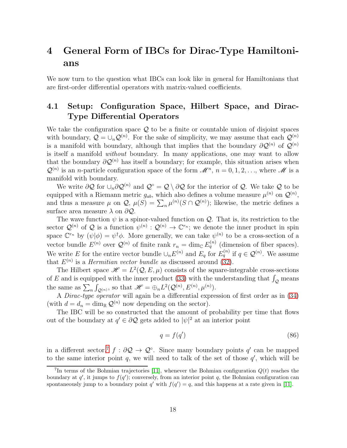# <span id="page-17-0"></span>4 General Form of IBCs for Dirac-Type Hamiltonians

We now turn to the question what IBCs can look like in general for Hamiltonians that are first-order differential operators with matrix-valued coefficients.

### 4.1 Setup: Configuration Space, Hilbert Space, and Dirac-Type Differential Operators

We take the configuration space  $\mathcal{Q}$  to be a finite or countable union of disjoint spaces with boundary,  $\mathcal{Q} = \bigcup_n \mathcal{Q}^{(n)}$ . For the sake of simplicity, we may assume that each  $\mathcal{Q}^{(n)}$ is a manifold with boundary, although that implies that the boundary  $\partial \mathcal{Q}^{(n)}$  of  $\mathcal{Q}^{(n)}$ is itself a manifold without boundary. In many applications, one may want to allow that the boundary  $\partial \mathcal{Q}^{(n)}$  has itself a boundary; for example, this situation arises when  $\mathcal{Q}^{(n)}$  is an *n*-particle configuration space of the form  $\mathcal{M}^n$ ,  $n = 0, 1, 2, \ldots$ , where  $\mathcal M$  is a manifold with boundary.

We write  $\partial \mathcal{Q}$  for  $\cup_n \partial \mathcal{Q}^{(n)}$  and  $\mathcal{Q}^{\circ} = \mathcal{Q} \setminus \partial \mathcal{Q}$  for the interior of  $\mathcal{Q}$ . We take  $\mathcal Q$  to be equipped with a Riemann metric  $g_{ab}$ , which also defines a volume measure  $\mu^{(n)}$  on  $\mathcal{Q}^{(n)}$ , and thus a measure  $\mu$  on  $\mathcal{Q}, \mu(S) = \sum_{n} \mu^{(n)}(S \cap \mathcal{Q}^{(n)})$ ; likewise, the metric defines a surface area measure  $\lambda$  on  $\partial \mathcal{Q}$ .

The wave function  $\psi$  is a spinor-valued function on  $\mathcal{Q}$ . That is, its restriction to the sector  $\mathcal{Q}^{(n)}$  of  $\mathcal{Q}$  is a function  $\psi^{(n)} : \mathcal{Q}^{(n)} \to \mathbb{C}^{r_n}$ ; we denote the inner product in spin space  $\mathbb{C}^{r_n}$  by  $(\psi|\phi) = \psi^{\dagger} \phi$ . More generally, we can take  $\psi^{(n)}$  to be a cross-section of a vector bundle  $E^{(n)}$  over  $\mathcal{Q}^{(n)}$  of finite rank  $r_n = \dim_{\mathbb{C}} E_q^{(n)}$  (dimension of fiber spaces). We write E for the entire vector bundle  $\cup_n E^{(n)}$  and  $E_q$  for  $E_q^{(n)}$  if  $q \in \mathcal{Q}^{(n)}$ . We assume that  $E^{(n)}$  is a *Hermitian vector bundle* as discussed around [\(32\)](#page-8-4).

The Hilbert space  $\mathcal{H} = L^2(Q, E, \mu)$  consists of the square-integrable cross-sections of E and is equipped with the inner product [\(33\)](#page-8-5) with the understanding that  $\int_{Q}$  means the same as  $\sum_{n}$   $\int$  $Q^{(n)}$ , so that  $\mathscr{H} = \bigoplus_n L^2(Q^{(n)}, E^{(n)}, \mu^{(n)}).$ 

A *Dirac-type operator* will again be a differential expression of first order as in  $(34)$ (with  $d = d_n = \dim_{\mathbb{R}} \mathcal{Q}^{(n)}$  now depending on the sector).

The IBC will be so constructed that the amount of probability per time that flows out of the boundary at  $q' \in \partial \mathcal{Q}$  gets added to  $|\psi|^2$  at an interior point

$$
q = f(q') \tag{86}
$$

in a different sector,<sup>[7](#page-17-1)</sup>  $f : \partial \mathcal{Q} \to \mathcal{Q}^{\circ}$ . Since many boundary points q' can be mapped to the same interior point  $q$ , we will need to talk of the set of those  $q'$ , which will be

<span id="page-17-1"></span><sup>&</sup>lt;sup>7</sup>In terms of the Bohmian trajectories [\[11\]](#page-30-4), whenever the Bohmian configuration  $Q(t)$  reaches the boundary at  $q'$ , it jumps to  $f(q')$ ; conversely, from an interior point q, the Bohmian configuration can spontaneously jump to a boundary point q' with  $f(q') = q$ , and this happens at a rate given in [\[11\]](#page-30-4).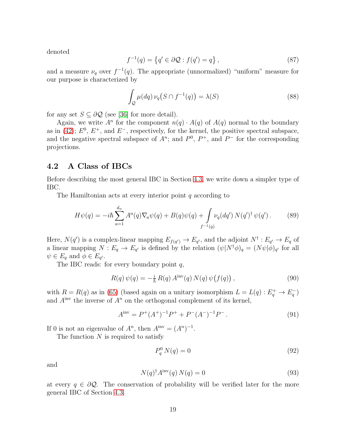denoted

$$
f^{-1}(q) = \left\{ q' \in \partial \mathcal{Q} : f(q') = q \right\},\tag{87}
$$

and a measure  $\nu_q$  over  $f^{-1}(q)$ . The appropriate (unnormalized) "uniform" measure for our purpose is characterized by

<span id="page-18-4"></span>
$$
\int_{\mathcal{Q}} \mu(dq) \nu_q(S \cap f^{-1}(q)) = \lambda(S) \tag{88}
$$

for any set  $S \subseteq \partial \mathcal{Q}$  (see [\[36\]](#page-31-2) for more detail).

Again, we write  $A^n$  for the component  $n(q) \cdot A(q)$  of  $A(q)$  normal to the boundary as in [\(42\)](#page-10-4);  $E^0$ ,  $E^+$ , and  $E^-$ , respectively, for the kernel, the positive spectral subspace, and the negative spectral subspace of  $A^n$ ; and  $P^0$ ,  $P^+$ , and  $P^-$  for the corresponding projections.

#### <span id="page-18-5"></span>4.2 A Class of IBCs

Before describing the most general IBC in Section [4.3,](#page-20-0) we write down a simpler type of IBC.

The Hamiltonian acts at every interior point  $q$  according to

<span id="page-18-3"></span>
$$
H\psi(q) = -i\hbar \sum_{a=1}^{d_n} A^a(q) \nabla_a \psi(q) + B(q) \psi(q) + \int_{f^{-1}(q)} \nu_q(dq') N(q')^{\dagger} \psi(q') . \tag{89}
$$

Here,  $N(q')$  is a complex-linear mapping  $E_{f(q')} \to E_{q'}$ , and the adjoint  $N^{\dagger} : E_{q'} \to E_q$  of a linear mapping  $N: E_q \to E_{q'}$  is defined by the relation  $(\psi|N^{\dagger}\phi)_q = (N\psi|\phi)_{q'}$  for all  $\psi \in E_q$  and  $\phi \in E_{q'}$ .

The IBC reads: for every boundary point  $q$ ,

<span id="page-18-2"></span>
$$
R(q)\,\psi(q) = -\frac{i}{\hbar}\,R(q)\,A^{\rm inv}(q)\,N(q)\,\psi\big(f(q)\big)\,,\tag{90}
$$

with  $R = R(q)$  as in [\(65\)](#page-13-1) (based again on a unitary isomorphism  $L = L(q) : E_q^+ \to E_q^-$ ) and  $A^{inv}$  the inverse of  $A^n$  on the orthogonal complement of its kernel,

$$
A^{\text{inv}} = P^+(A^+)^{-1}P^+ + P^-(A^-)^{-1}P^-.
$$
\n(91)

If 0 is not an eigenvalue of  $A^n$ , then  $A^{inv} = (A^n)^{-1}$ .

The function  $N$  is required to satisfy

<span id="page-18-1"></span>
$$
P_q^0 N(q) = 0 \tag{92}
$$

and

<span id="page-18-0"></span>
$$
N(q)^{\dagger} A^{\text{inv}}(q) N(q) = 0 \tag{93}
$$

at every  $q \in \partial \mathcal{Q}$ . The conservation of probability will be verified later for the more general IBC of Section [4.3.](#page-20-0)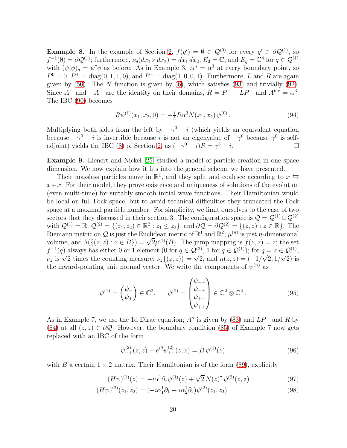**Example 8.** In the example of Section [2,](#page-2-0)  $f(q') = \emptyset \in \mathcal{Q}^{(0)}$  for every  $q' \in \partial \mathcal{Q}^{(1)}$ , so  $f^{-1}(\emptyset) = \partial \mathcal{Q}^{(1)}$ ; furthermore,  $\nu_{\emptyset}(dx_1 \times dx_2) = dx_1 dx_2$ ,  $E_{\emptyset} = \mathbb{C}$ , and  $E_q = \mathbb{C}^4$  for  $q \in \mathcal{Q}^{(1)}$ with  $(\psi|\phi)_q = \psi^{\dagger} \phi$  as before. As in Example 3,  $A^n = \alpha^3$  at every boundary point, so  $P^0 = 0, P^+ = diag(0, 1, 1, 0),$  and  $P^- = diag(1, 0, 0, 1)$ . Furthermore, L and R are again given by  $(50)$ . The N function is given by  $(6)$ , which satisfies  $(93)$  and trivially  $(92)$ . Since  $A^+$  and  $-A^-$  are the identity on their domains,  $R = P^- - LP^+$  and  $A^{inv} = \alpha^3$ . The IBC [\(90\)](#page-18-2) becomes

$$
R\psi^{(1)}(x_1, x_2, 0) = -\frac{i}{\hbar} R\alpha^3 N(x_1, x_2) \psi^{(0)}.
$$
\n(94)

Multiplying both sides from the left by  $-\gamma^0 - i$  (which yields an equivalent equation because  $-\gamma^0 - i$  is invertible because i is not an eigenvalue of  $-\gamma^0$  because  $\gamma^0$  is self-adjoint) yields the IBC [\(8\)](#page-3-1) of Section [2,](#page-2-0) as  $(-\gamma^0 - i)R = \gamma^3 - i$ .

Example 9. Lienert and Nickel [\[25\]](#page-31-8) studied a model of particle creation in one space dimension. We now explain how it fits into the general scheme we have presented.

Their massless particles move in  $\mathbb{R}^1$ , and they split and coalesce according to  $x \leftrightarrow$  $x+x$ . For their model, they prove existence and uniqueness of solutions of the evolution (even multi-time) for suitably smooth initial wave functions. Their Hamiltonian would be local on full Fock space, but to avoid technical difficulties they truncated the Fock space at a maximal particle number. For simplicity, we limit ourselves to the case of two sectors that they discussed in their section 3. The configuration space is  $\mathcal{Q} = \mathcal{Q}^{(1)} \cup \mathcal{Q}^{(2)}$ with  $\mathcal{Q}^{(1)} = \mathbb{R}, \, \mathcal{Q}^{(2)} = \{(z_1, z_2) \in \mathbb{R}^2 : z_1 \leq z_2\},\, \text{and} \,\, \partial \mathcal{Q} = \partial \mathcal{Q}^{(2)} = \{(z, z) : z \in \mathbb{R}\}.$  The Riemann metric on Q is just the Euclidean metric of  $\mathbb{R}^1$  and  $\mathbb{R}^2$ ;  $\mu^{(n)}$  is just *n*-dimensional volume, and  $\lambda(\{(z, z) : z \in B\}) = \sqrt{2}\mu^{(1)}(B)$ . The jump mapping is  $f(z, z) = z$ ; the set  $f^{-1}(q)$  always has either 0 or 1 element  $(0 \text{ for } q \in \mathcal{Q}^{(2)}, 1 \text{ for } q \in \mathcal{Q}^{(1)});$  for  $q = z \in \mathcal{Q}^{(1)},$  $\nu_z$  is  $\sqrt{2}$  times the counting measure,  $\nu_z$ {(z, z)} =  $\sqrt{2}$ , and  $n(z, z) = (-1/\sqrt{2}, 1/\sqrt{2})$  is the inward-pointing unit normal vector. We write the components of  $\psi^{(n)}$  as

$$
\psi^{(1)} = \begin{pmatrix} \psi_{-} \\ \psi_{+} \end{pmatrix} \in \mathbb{C}^{2}, \qquad \psi^{(2)} = \begin{pmatrix} \psi_{--} \\ \psi_{-+} \\ \psi_{+-} \\ \psi_{++} \end{pmatrix} \in \mathbb{C}^{2} \otimes \mathbb{C}^{2}. \tag{95}
$$

As in Example 7, we use the 1d Dirac equation;  $A<sup>n</sup>$  is given by [\(83\)](#page-16-0) and  $LP<sup>+</sup>$  and R by [\(84\)](#page-16-1) at all  $(z, z) \in \partial \mathcal{Q}$ . However, the boundary condition [\(85\)](#page-16-2) of Example 7 now gets replaced with an IBC of the form

<span id="page-19-0"></span>
$$
\psi_{-+}^{(2)}(z,z) - e^{i\theta} \psi_{+-}^{(2)}(z,z) = B \psi^{(1)}(z) \tag{96}
$$

with B a certain  $1 \times 2$  matrix. Their Hamiltonian is of the form [\(89\)](#page-18-3), explicitly

$$
(H\psi)^{(1)}(z) = -i\alpha^1 \partial_z \psi^{(1)}(z) + \sqrt{2} N(z)^\dagger \psi^{(2)}(z,z)
$$
(97)

$$
(H\psi)^{(2)}(z_1, z_2) = (-i\alpha_1^1 \partial_1 - i\alpha_2^1 \partial_2)\psi^{(2)}(z_1, z_2)
$$
\n(98)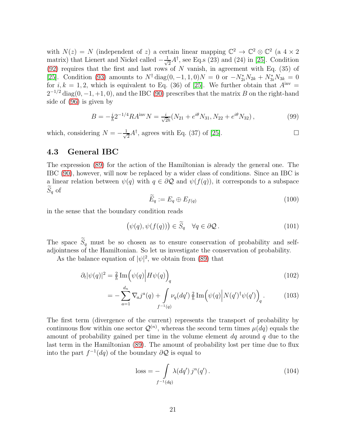with  $N(z) = N$  (independent of z) a certain linear mapping  $\mathbb{C}^2 \to \mathbb{C}^2 \otimes \mathbb{C}^2$  (a  $4 \times 2$ ) matrix) that Lienert and Nickel called  $-\frac{1}{\sqrt{2}}$  $\frac{1}{2}A^{\dagger}$ , see Eq.s (23) and (24) in [\[25\]](#page-31-8). Condition  $(92)$  requires that the first and last rows of N vanish, in agreement with Eq.  $(35)$  of [\[25\]](#page-31-8). Condition [\(93\)](#page-18-0) amounts to  $N^{\dagger}$  diag(0, -1, 1, 0) $N = 0$  or  $-N^*_{2i}N_{2k} + N^*_{3i}N_{3k} = 0$ for  $i, k = 1, 2$ , which is equivalent to Eq. (36) of [\[25\]](#page-31-8). We further obtain that  $A<sup>inv</sup> =$  $2^{-1/2}$  diag(0, -1, +1, 0), and the IBC [\(90\)](#page-18-2) prescribes that the matrix B on the right-hand side of [\(96\)](#page-19-0) is given by

$$
B = -\frac{i}{\hbar} 2^{-1/4} R A^{\text{inv}} N = \frac{i}{\sqrt{2}\hbar} (N_{21} + e^{i\theta} N_{31}, N_{22} + e^{i\theta} N_{32}), \qquad (99)
$$

which, considering  $N = -\frac{1}{\sqrt{2}}$  $\frac{1}{2}A^{\dagger}$ , agrees with Eq. (37) of [\[25\]](#page-31-8).

#### <span id="page-20-0"></span>4.3 General IBC

The expression [\(89\)](#page-18-3) for the action of the Hamiltonian is already the general one. The IBC [\(90\)](#page-18-2), however, will now be replaced by a wider class of conditions. Since an IBC is a linear relation between  $\psi(q)$  with  $q \in \partial \mathcal{Q}$  and  $\psi(f(q))$ , it corresponds to a subspace  $S_q$  of

<span id="page-20-1"></span>
$$
\widetilde{E}_q := E_q \oplus E_{f(q)} \tag{100}
$$

in the sense that the boundary condition reads

$$
(\psi(q), \psi(f(q))) \in \widetilde{S}_q \quad \forall q \in \partial \mathcal{Q} \,.
$$
 (101)

The space  $\widetilde{S}_q$  must be so chosen as to ensure conservation of probability and selfadjointness of the Hamiltonian. So let us investigate the conservation of probability.

As the balance equation of  $|\psi|^2$ , we obtain from [\(89\)](#page-18-3) that

$$
\partial_t |\psi(q)|^2 = \frac{2}{\hbar} \operatorname{Im} \left( \psi(q) \middle| H\psi(q) \right)_q \tag{102}
$$

$$
= -\sum_{a=1}^{d_n} \nabla_a j^a(q) + \int_{f^{-1}(q)} \nu_q(dq') \frac{2}{\hbar} \operatorname{Im} \left( \psi(q) \middle| N(q')^{\dagger} \psi(q') \right)_q.
$$
 (103)

The first term (divergence of the current) represents the transport of probability by continuous flow within one sector  $\mathcal{Q}^{(n)}$ , whereas the second term times  $\mu(dq)$  equals the amount of probability gained per time in the volume element  $dq$  around q due to the last term in the Hamiltonian [\(89\)](#page-18-3). The amount of probability lost per time due to flux into the part  $f^{-1}(dq)$  of the boundary  $\partial \mathcal{Q}$  is equal to

<span id="page-20-2"></span>
$$
loss = -\int_{f^{-1}(dq)} \lambda(dq') j^n(q'). \qquad (104)
$$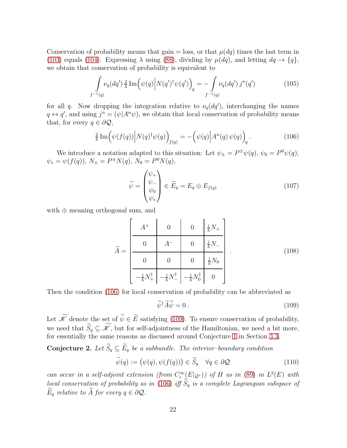Conservation of probability means that gain  $=$  loss, or that  $\mu(dq)$  times the last term in [\(103\)](#page-20-1) equals [\(104\)](#page-20-2). Expressing  $\lambda$  using [\(88\)](#page-18-4), dividing by  $\mu(dq)$ , and letting  $dq \to \{q\}$ , we obtain that conservation of probability is equivalent to

<span id="page-21-3"></span>
$$
\int_{f^{-1}(q)} \nu_q(dq') \frac{2}{\hbar} \operatorname{Im} \left( \psi(q) \middle| N(q')^{\dagger} \psi(q') \right)_q = - \int_{f^{-1}(q)} \nu_q(dq') j^n(q') \tag{105}
$$

for all q. Now dropping the integration relative to  $\nu_q(dq')$ , interchanging the names  $q \leftrightarrow q'$ , and using  $j^n = (\psi | A^n \psi)$ , we obtain that local conservation of probability means that, for every  $q \in \partial \mathcal{Q}$ ,

<span id="page-21-0"></span>
$$
\frac{2}{\hbar} \operatorname{Im} \left( \psi(f(q)) \middle| N(q)^\dagger \psi(q) \right)_{f(q)} = -\left( \psi(q) \middle| A^n(q) \psi(q) \right)_q. \tag{106}
$$

We introduce a notation adapted to this situation: Let  $\psi_{\pm} = P^{\pm} \psi(q)$ ,  $\psi_0 = P^0 \psi(q)$ ,  $\psi_* = \psi(f(q)), N_{\pm} = P^{\pm}N(q), N_0 = P^0N(q),$ 

$$
\widetilde{\psi} = \begin{pmatrix} \psi_+ \\ \psi_- \\ \psi_0 \\ \psi_* \end{pmatrix} \in \widetilde{E}_q = E_q \oplus E_{f(q)} \tag{107}
$$

with ⊕ meaning orthogonal sum, and

$$
\widetilde{A} = \begin{bmatrix}\nA^{+} & 0 & 0 & \frac{i}{\hbar}N_{+} \\
0 & A^{-} & 0 & \frac{i}{\hbar}N_{-} \\
0 & 0 & 0 & \frac{i}{\hbar}N_{0} \\
-\frac{i}{\hbar}N_{+}^{\dagger} & -\frac{i}{\hbar}N_{-}^{\dagger} & -\frac{i}{\hbar}N_{0}^{\dagger} & 0\n\end{bmatrix}.
$$
\n(108)

Then the condition [\(106\)](#page-21-0) for local conservation of probability can be abbreviated as

<span id="page-21-1"></span>
$$
\tilde{\psi}^{\dagger} \tilde{A} \tilde{\psi} = 0. \tag{109}
$$

Let  $\widetilde{\mathscr{K}}$  denote the set of  $\widetilde{\psi} \in \widetilde{E}$  satisfying [\(109\)](#page-21-1). To ensure conservation of probability, we need that  $\widetilde{S}_q \subseteq \widetilde{\mathscr{K}}$ , but for self-adjointness of the Hamiltonian, we need a bit more, for essentially the same reasons as discussed around Conjecture [1](#page-13-2) in Section [3.3.](#page-12-0)

**Conjecture 2.** Let  $\widetilde{S}_q \subseteq \widetilde{E}_q$  be a subbundle. The interior-boundary condition

<span id="page-21-2"></span>
$$
\widetilde{\psi}(q) := (\psi(q), \psi(f(q))) \in \widetilde{S}_q \quad \forall q \in \partial \mathcal{Q} \tag{110}
$$

can occur in a self-adjoint extension (from  $C_c^{\infty}(E|_{Q^{\circ}})$ ) of H as in [\(89\)](#page-18-3) in  $L^2(E)$  with local conservation of probability as in [\(106\)](#page-21-0) iff  $\widetilde{S}_q$  is a complete Lagrangian subspace of  $\widetilde{E}_q$  relative to  $\widetilde{A}$  for every  $q \in \partial \mathcal{Q}$ .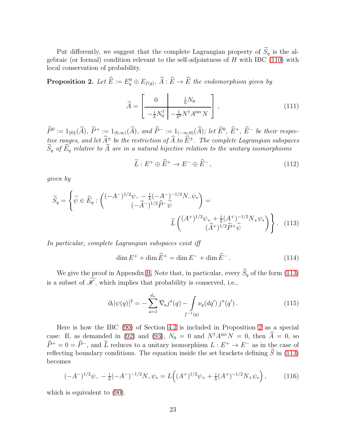Put differently, we suggest that the complete Lagrangian property of  $\widetilde{S}_q$  is the algebraic (or formal) condition relevant to the self-adjointness of  $H$  with IBC [\(110\)](#page-21-2) with local conservation of probability.

<span id="page-22-1"></span>**Proposition 2.** Let  $\hat{E} := E_q^0 \oplus E_{f(q)}, \ \hat{A} : \hat{E} \to \hat{E}$  the endomorphism given by

$$
\widehat{A} = \begin{bmatrix} 0 & \frac{i}{\hbar} N_0 \\ -\frac{i}{\hbar} N_0^{\dagger} & -\frac{1}{\hbar^2} N^{\dagger} A^{\text{inv}} N \end{bmatrix},
$$
\n(111)

 $\widehat{P}^0 := 1_{\{0\}}(\widehat{A}), \ \widehat{P}^+ := 1_{(0,\infty)}(\widehat{A}), \ and \ \widehat{P}^- := 1_{(-\infty,0)}(\widehat{A}); \ let \ \widehat{E}^0, \ \widehat{E}^+, \ \widehat{E}^- \ be \ their \ respect to \ the \widehat{E}^0.$ tive ranges, and let  $A^{\pm}_{\sim}$  be the restriction of A to  $E^{\pm}$ . The complete Lagrangian subspaces  $S_q$  of  $E_q$  relative to A are in a natural bijective relation to the unitary isomorphisms

<span id="page-22-0"></span>
$$
\widetilde{L}: E^+ \oplus \widehat{E}^+ \to E^- \oplus \widehat{E}^-, \tag{112}
$$

given by

$$
\widetilde{S}_q = \left\{ \widetilde{\psi} \in \widetilde{E}_q : \begin{pmatrix} (-A^{-})^{1/2} \psi_- - \frac{i}{\hbar} (-A^{-})^{-1/2} N_- \psi_* \\ (-\widehat{A}^{-})^{1/2} \widehat{P}^- \widetilde{\psi} \end{pmatrix} = \widetilde{L} \begin{pmatrix} (A^{+})^{1/2} \psi_+ + \frac{i}{\hbar} (A^{+})^{-1/2} N_+ \psi_* \\ (\widehat{A}^{+})^{1/2} \widehat{P}^+ \widetilde{\psi} \end{pmatrix} \right\}.
$$
 (113)

In particular, complete Lagrangian subspaces exist iff

$$
\dim E^{+} + \dim \widehat{E}^{+} = \dim E^{-} + \dim \widehat{E}^{-}.
$$
\n(114)

We give the proof in Appendix [B.](#page-27-0) Note that, in particular, every  $\widetilde{S}_q$  of the form [\(113\)](#page-22-0) is a subset of  $\widetilde{\mathscr{K}}$ , which implies that probability is conserved, i.e.,

$$
\partial_t |\psi(q)|^2 = -\sum_{a=1}^{d_n} \nabla_a j^a(q) - \int_{f^{-1}(q)} \nu_q(dq') j^n(q'). \tag{115}
$$

Here is how the IBC [\(90\)](#page-18-2) of Section [4.2](#page-18-5) is included in Proposition [2](#page-22-1) as a special case: If, as demanded in [\(92\)](#page-18-1) and [\(93\)](#page-18-0),  $N_0 = 0$  and  $N^{\dagger} A^{\text{inv}} N = 0$ , then  $\hat{A} = 0$ , so  $\widehat{P}^+ = 0 = \widehat{P}^-,$  and  $\widetilde{L}$  reduces to a unitary isomorphism  $L : E^+ \to E^-$  as in the case of reflecting boundary conditions. The equation inside the set brackets defining  $\widetilde{S}$  in [\(113\)](#page-22-0) becomes

$$
(-A^{-})^{1/2}\psi_{-} - \frac{i}{\hbar}(-A^{-})^{-1/2}N_{-}\psi_{*} = L\Big((A^{+})^{1/2}\psi_{+} + \frac{i}{\hbar}(A^{+})^{-1/2}N_{+}\psi_{*}\Big)\,,\tag{116}
$$

which is equivalent to  $(90)$ .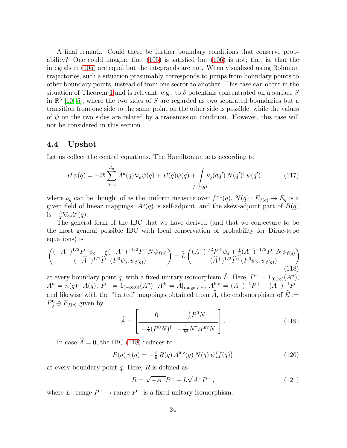A final remark. Could there be further boundary conditions that conserve probability? One could imagine that [\(105\)](#page-21-3) is satisfied but [\(106\)](#page-21-0) is not; that is, that the integrals in [\(105\)](#page-21-3) are equal but the integrands are not. When visualized using Bohmian trajectories, such a situation presumably corresponds to jumps from boundary points to other boundary points, instead of from one sector to another. This case can occur in the situation of Theorem [1](#page-7-4) and is relevant, e.g., to  $\delta$  potentials concentrated on a surface S in  $\mathbb{R}^3$  [\[10,](#page-29-8) [5\]](#page-29-9), where the two sides of S are regarded as two separated boundaries but a transition from one side to the same point on the other side is possible, while the values of  $\psi$  on the two sides are related by a transmission condition. However, this case will not be considered in this section.

#### 4.4 Upshot

Let us collect the central equations. The Hamiltonian acts according to

$$
H\psi(q) = -i\hbar \sum_{a=1}^{d_n} A^a(q) \nabla_a \psi(q) + B(q) \psi(q) + \int_{f^{-1}(q)} \nu_q(dq') N(q')^{\dagger} \psi(q'), \qquad (117)
$$

where  $\nu_q$  can be thought of as the uniform measure over  $f^{-1}(q)$ ,  $N(q)$ :  $E_{f(q)} \to E_q$  is a given field of linear mappings,  $A^a(q)$  is self-adjoint, and the skew-adjoint part of  $B(q)$ is  $-\frac{\hbar}{2}\nabla_a A^a(q)$ .

The general form of the IBC that we have derived (and that we conjecture to be the most general possible IBC with local conservation of probability for Dirac-type equations) is

<span id="page-23-0"></span>
$$
\begin{pmatrix}\n(-A^{-})^{1/2}P^{-}\psi_{q} - \frac{i}{\hbar}(-A^{-})^{-1/2}P^{-}N\psi_{f(q)} \\
(-\widehat{A}^{-})^{1/2}\widehat{P}^{-}(P^{0}\psi_{q},\psi_{f(q)})\n\end{pmatrix} = \widetilde{L} \begin{pmatrix}\n(A^{+})^{1/2}P^{+}\psi_{q} + \frac{i}{\hbar}(A^{+})^{-1/2}P^{+}N\psi_{f(q)} \\
(\widehat{A}^{+})^{1/2}\widehat{P}^{+}(P^{0}\psi_{q},\psi_{f(q)})\n\end{pmatrix}
$$
\n(118)

at every boundary point q, with a fixed unitary isomorphism L. Here,  $P^+ = 1_{(0,\infty)}(A^n)$ ,  $A^{n} = n(q) \cdot A(q), P^{-} = 1_{(-\infty,0)}(A^{n}), A^{\pm} = A|_{\text{range }P^{\pm}}, A^{\text{inv}} = (A^{+})^{-1}P^{+} + (A^{-})^{-1}P^{-}$ and likewise with the "hatted" mappings obtained from  $\widehat{A}$ , the endomorphism of  $\widehat{E} :=$  $E_q^0 \oplus E_{f(q)}$  given by

$$
\widehat{A} = \begin{bmatrix} 0 & \frac{i}{\hbar} P^0 N \\ -\frac{i}{\hbar} (P^0 N)^\dagger & -\frac{1}{\hbar^2} N^\dagger A^{\text{inv}} N \end{bmatrix} . \tag{119}
$$

In case  $\widehat{A} = 0$ , the IBC [\(118\)](#page-23-0) reduces to

$$
R(q)\,\psi(q) = -\frac{i}{\hbar}\,R(q)\,A^{\rm inv}(q)\,N(q)\,\psi\big(f(q)\big) \tag{120}
$$

at every boundary point  $q$ . Here,  $R$  is defined as

$$
R = \sqrt{-A^{-}}P^{-} - L\sqrt{A^{+}}P^{+}, \qquad (121)
$$

where  $L:$  range  $P^+ \to \text{range } P^-$  is a fixed unitary isomorphism.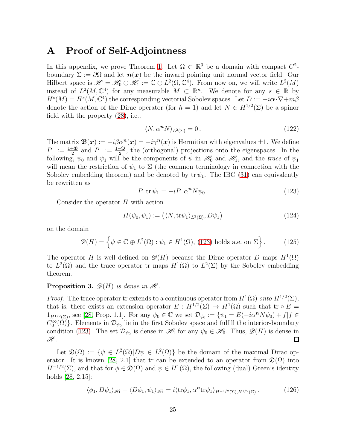### <span id="page-24-0"></span>A Proof of Self-Adjointness

In this appendix, we prove Theorem [1.](#page-7-4) Let  $\Omega \subset \mathbb{R}^3$  be a domain with compact  $C^2$ boundary  $\Sigma := \partial\Omega$  and let  $n(x)$  be the inward pointing unit normal vector field. Our Hilbert space is  $\mathscr{H} = \mathscr{H}_0 \oplus \mathscr{H}_1 := \mathbb{C} \oplus L^2(\Omega, \mathbb{C}^4)$ . From now on, we will write  $L^2(M)$ instead of  $L^2(M, \mathbb{C}^4)$  for any measurable  $M \subset \mathbb{R}^n$ . We denote for any  $s \in \mathbb{R}$  by  $H^s(M) = H^s(M, \mathbb{C}^4)$  the corresponding vectorial Sobolev spaces. Let  $D := -i \alpha \cdot \nabla + m\beta$ denote the action of the Dirac operator (for  $\hbar = 1$ ) and let  $N \in H^{1/2}(\Sigma)$  be a spinor field with the property [\(28\)](#page-7-2), i.e.,

<span id="page-24-3"></span>
$$
\langle N, \alpha^n N \rangle_{L^2(\Sigma)} = 0. \tag{122}
$$

The matrix  $\mathfrak{B}(\mathbf{x}) := -i\beta \alpha^{\mathbf{n}}(\mathbf{x}) = -i\gamma^{\mathbf{n}}(\mathbf{x})$  is Hermitian with eigenvalues  $\pm 1$ . We define  $P_+ := \frac{1+3}{2}$  and  $P_- := \frac{1-3}{2}$ , the (orthogonal) projections onto the eigenspaces. In the following,  $\psi_0$  and  $\psi_1$  will be the components of  $\psi$  in  $\mathcal{H}_0$  and  $\mathcal{H}_1$ , and the trace of  $\psi_1$ will mean the restriction of  $\psi_1$  to  $\Sigma$  (the common terminology in connection with the Sobolev embedding theorem) and be denoted by  $\text{tr } \psi_1$ . The IBC [\(31\)](#page-7-5) can equivalently be rewritten as

<span id="page-24-1"></span>
$$
P_{-}\text{tr}\,\psi_1 = -i P_{-}\alpha^n N \psi_0 \,. \tag{123}
$$

Consider the operator H with action

$$
H(\psi_0, \psi_1) := \left( \langle N, \text{tr}\psi_1 \rangle_{L^2(\Sigma)}, D\psi_1 \right) \tag{124}
$$

on the domain

$$
\mathscr{D}(H) = \left\{ \psi \in \mathbb{C} \oplus L^2(\Omega) : \psi_1 \in H^1(\Omega), (123) \text{ holds a.e. on } \Sigma \right\}.
$$
 (125)

The operator H is well defined on  $\mathscr{D}(H)$  because the Dirac operator D maps  $H^1(\Omega)$ to  $L^2(\Omega)$  and the trace operator tr maps  $H^1(\Omega)$  to  $L^2(\Sigma)$  by the Sobolev embedding theorem.

#### **Proposition 3.**  $\mathscr{D}(H)$  is dense in  $\mathscr{H}$ .

*Proof.* The trace operator tr extends to a continuous operator from  $H^1(\Omega)$  onto  $H^{1/2}(\Sigma)$ , that is, there exists an extension operator  $E: H^{1/2}(\Sigma) \to H^1(\Omega)$  such that tr  $\circ E =$  $1_{H^{1/2}(\Sigma)}$ , see [\[28,](#page-31-12) Prop. 1.1]. For any  $\psi_0 \in \mathbb{C}$  we set  $\mathcal{D}_{\psi_0} := \{ \psi_1 = E(-i\alpha^n N \psi_0) + f | f \in$  $C_0^{\infty}(\Omega)$ . Elements in  $\mathcal{D}_{\psi_0}$  lie in the first Sobolev space and fulfill the interior-boundary condition [\(123\)](#page-24-1). The set  $\mathcal{D}_{\psi_0}$  is dense in  $\mathscr{H}_1$  for any  $\psi_0 \in \mathscr{H}_0$ . Thus,  $\mathscr{D}(H)$  is dense in  $\mathscr{H}.$ 

Let  $\mathfrak{D}(\Omega) := \{ \psi \in L^2(\Omega) | D\psi \in L^2(\Omega) \}$  be the domain of the maximal Dirac op-erator. It is known [\[28,](#page-31-12) 2.1] that tr can be extended to an operator from  $\mathfrak{D}(\Omega)$  into  $H^{-1/2}(\Sigma)$ , and that for  $\phi \in \mathfrak{D}(\Omega)$  and  $\psi \in H^1(\Omega)$ , the following (dual) Green's identity holds [\[28,](#page-31-12) 2.15]:

<span id="page-24-2"></span>
$$
\langle \phi_1, D\psi_1 \rangle_{\mathscr{H}_1} - \langle D\phi_1, \psi_1 \rangle_{\mathscr{H}_1} = i \langle \text{tr}\phi_1, \alpha^n \text{tr}\psi_1 \rangle_{H^{-1/2}(\Sigma), H^{1/2}(\Sigma)}.
$$
 (126)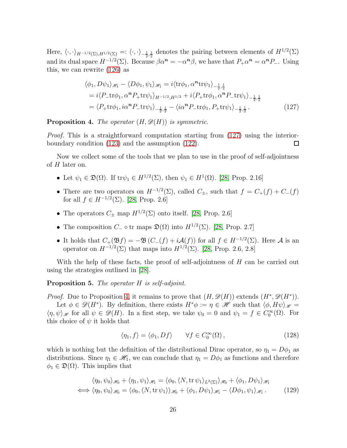Here,  $\langle \cdot, \cdot \rangle_{H^{-1/2}(\Sigma), H^{1/2}(\Sigma)} =: \langle \cdot, \cdot \rangle_{-\frac{1}{2}, \frac{1}{2}}$  denotes the pairing between elements of  $H^{1/2}(\Sigma)$ and its dual space  $H^{-1/2}(\Sigma)$ . Because  $\beta \alpha^n = -\alpha^n \beta$ , we have that  $P_+ \alpha^n = \alpha^n P_-$ . Using this, we can rewrite [\(126\)](#page-24-2) as

<span id="page-25-0"></span>
$$
\langle \phi_1, D\psi_1 \rangle_{\mathscr{H}_1} - \langle D\phi_1, \psi_1 \rangle_{\mathscr{H}_1} = i \langle \text{tr}\phi_1, \alpha^n \text{tr}\psi_1 \rangle_{-\frac{1}{2}, \frac{1}{2}} \n= i \langle P_- \text{tr}\phi_1, \alpha^n P_+ \text{tr}\psi_1 \rangle_{H^{-1/2}, H^{1/2}} + i \langle P_+ \text{tr}\phi_1, \alpha^n P_- \text{tr}\psi_1 \rangle_{-\frac{1}{2}, \frac{1}{2}} \n= \langle P_+ \text{tr}\phi_1, i\alpha^n P_- \text{tr}\psi_1 \rangle_{-\frac{1}{2}, \frac{1}{2}} - \langle i\alpha^n P_- \text{tr}\phi_1, P_+ \text{tr}\psi_1 \rangle_{-\frac{1}{2}, \frac{1}{2}}.
$$
\n(127)

<span id="page-25-1"></span>**Proposition 4.** The operator  $(H, \mathcal{D}(H))$  is symmetric.

Proof. This is a straightforward computation starting from [\(127\)](#page-25-0) using the interiorboundary condition [\(123\)](#page-24-1) and the assumption [\(122\)](#page-24-3).  $\Box$ 

Now we collect some of the tools that we plan to use in the proof of self-adjointness of  $H$  later on.

- Let  $\psi_1 \in \mathfrak{D}(\Omega)$ . If  $\text{tr}\psi_1 \in H^{1/2}(\Sigma)$ , then  $\psi_1 \in H^1(\Omega)$ . [\[28,](#page-31-12) Prop. 2.16]
- There are two operators on  $H^{-1/2}(\Sigma)$ , called  $C_{\pm}$ , such that  $f = C_{+}(f) + C_{-}(f)$ for all  $f \in H^{-1/2}(\Sigma)$ . [\[28,](#page-31-12) Prop. 2.6]
- The operators  $C_{\pm}$  map  $H^{1/2}(\Sigma)$  onto itself. [\[28,](#page-31-12) Prop. 2.6]
- The composition  $C_-\circ \text{tr}$  maps  $\mathfrak{D}(\Omega)$  into  $H^{1/2}(\Sigma)$ . [\[28,](#page-31-12) Prop. 2.7]
- It holds that  $C_+(\mathfrak{B}_f) = -\mathfrak{B}(C_-(f) + i\mathcal{A}(f))$  for all  $f \in H^{-1/2}(\Sigma)$ . Here A is an operator on  $H^{-1/2}(\Sigma)$  that maps into  $H^{1/2}(\Sigma)$ . [\[28,](#page-31-12) Prop. 2.6, 2.8]

With the help of these facts, the proof of self-adjointness of H can be carried out using the strategies outlined in [\[28\]](#page-31-12).

Proposition 5. The operator H is self-adjoint.

*Proof.* Due to Proposition [4,](#page-25-1) it remains to prove that  $(H, \mathscr{D}(H))$  extends  $(H^*, \mathscr{D}(H^*))$ .

Let  $\phi \in \mathscr{D}(H^*)$ . By definition, there exists  $H^*\phi := \eta \in \mathscr{H}$  such that  $\langle \phi, H\psi \rangle_{\mathscr{H}} =$  $\langle \eta, \psi \rangle_{\mathscr{H}}$  for all  $\psi \in \mathscr{D}(H)$ . In a first step, we take  $\psi_0 = 0$  and  $\psi_1 = f \in C_0^{\infty}(\Omega)$ . For this choice of  $\psi$  it holds that

$$
\langle \eta_1, f \rangle = \langle \phi_1, Df \rangle \qquad \forall f \in C_0^{\infty}(\Omega), \tag{128}
$$

which is nothing but the definition of the distributional Dirac operator, so  $\eta_1 = D\phi_1$  as distributions. Since  $\eta_1 \in \mathcal{H}_1$ , we can conclude that  $\eta_1 = D\phi_1$  as functions and therefore  $\phi_1 \in \mathfrak{D}(\Omega)$ . This implies that

$$
\langle \eta_0, \psi_0 \rangle_{\mathscr{H}_0} + \langle \eta_1, \psi_1 \rangle_{\mathscr{H}_1} = \langle \phi_0, \langle N, \text{tr} \, \psi_1 \rangle_{L^2(\Sigma)} \rangle_{\mathscr{H}_0} + \langle \phi_1, D\psi_1 \rangle_{\mathscr{H}_1}
$$
  

$$
\iff \langle \eta_0, \psi_0 \rangle_{\mathscr{H}_0} = \langle \phi_0, \langle N, \text{tr} \, \psi_1 \rangle \rangle_{\mathscr{H}_0} + \langle \phi_1, D\psi_1 \rangle_{\mathscr{H}_1} - \langle D\phi_1, \psi_1 \rangle_{\mathscr{H}_1}. \tag{129}
$$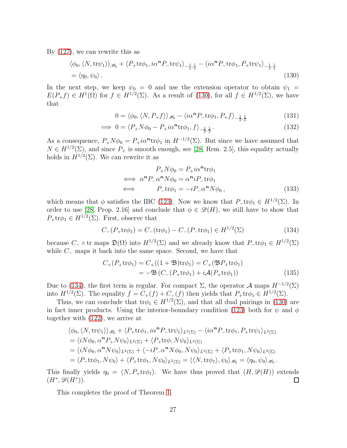By [\(127\)](#page-25-0), we can rewrite this as

$$
\langle \phi_0, \langle N, \text{tr}\psi_1 \rangle \rangle_{\mathcal{H}_0} + \langle P_+ \text{tr}\phi_1, i\alpha^n P_- \text{tr}\psi_1 \rangle_{-\frac{1}{2},\frac{1}{2}} - \langle i\alpha^n P_- \text{tr}\phi_1, P_+ \text{tr}\psi_1 \rangle_{-\frac{1}{2},\frac{1}{2}} = \langle \eta_0, \psi_0 \rangle.
$$
 (130)

In the next step, we keep  $\psi_0 = 0$  and use the extension operator to obtain  $\psi_1 =$  $E(P_+f) \in H^1(\Omega)$  for  $f \in H^{1/2}(\Sigma)$ . As a result of [\(130\)](#page-26-0), for all  $f \in H^{1/2}(\Sigma)$ , we have that

<span id="page-26-0"></span>
$$
0 = \langle \phi_0, \langle N, P_+ f \rangle \rangle_{\mathcal{H}_0} - \langle i\alpha^n P_- \text{tr}\phi_1, P_+ f \rangle_{-\frac{1}{2},\frac{1}{2}} \tag{131}
$$

$$
\implies 0 = \langle P_+ N \phi_0 - P_+ i \alpha^n \text{tr} \phi_1, f \rangle_{-\frac{1}{2}, \frac{1}{2}}. \tag{132}
$$

As a consequence,  $P_+N\phi_0 = P_+i\alpha^n \text{tr}\phi_1$  in  $H^{-1/2}(\Sigma)$ . But since we have assumed that  $N \in H^{1/2}(\Sigma)$ , and since  $P_+$  is smooth enough, see [\[28,](#page-31-12) Rem. 2.5], this equality actually holds in  $H^{1/2}(\Sigma)$ . We can rewrite it as

<span id="page-26-1"></span>
$$
P_{+}N\phi_{0} = P_{+}i\alpha^{n}\text{tr}\phi_{1}
$$
  
\n
$$
\iff \alpha^{n}P_{-}\alpha^{n}N\phi_{0} = \alpha^{n}iP_{-}\text{tr}\phi_{1}
$$
  
\n
$$
\iff P_{-}\text{tr}\phi_{1} = -iP_{-}\alpha^{n}N\phi_{0}, \qquad (133)
$$

which means that  $\phi$  satisfies the IBC [\(123\)](#page-24-1). Now we know that  $P_{-}\text{tr}\phi_1 \in H^{1/2}(\Sigma)$ . In order to use [\[28,](#page-31-12) Prop. 2.16] and conclude that  $\phi \in \mathscr{D}(H)$ , we still have to show that  $P_+\text{tr}\phi_1 \in H^{1/2}(\Sigma)$ . First, observe that

$$
C_{-}(P_{+}\text{tr}\phi_{1}) = C_{-}(\text{tr}\phi_{1}) - C_{-}(P_{-}\text{tr}\phi_{1}) \in H^{1/2}(\Sigma)
$$
\n(134)

because  $C_-\circ \text{tr}$  maps  $\mathfrak{D}(\Omega)$  into  $H^{1/2}(\Sigma)$  and we already know that  $P_-\text{tr}\phi_1 \in H^{1/2}(\Sigma)$ while  $C_-\$  maps it back into the same space. Second, we have that

$$
C_{+}(P_{+}\text{tr}\phi_{1}) = C_{+}((1+\mathfrak{B})\text{tr}\phi_{1}) = C_{+}(\mathfrak{B}P_{+}\text{tr}\phi_{1})
$$
  
=  $-\mathfrak{B}(C_{-}(P_{+}\text{tr}\phi_{1}) + i\mathcal{A}(P_{+}\text{tr}\phi_{1}))$  (135)

Due to [\(134\)](#page-26-1), the first term is regular. For compact  $\Sigma$ , the operator  $\mathcal A$  maps  $H^{-1/2}(\Sigma)$ into  $H^{1/2}(\Sigma)$ . The equality  $f = C_+(f) + C_-(f)$  then yields that  $P_+\text{tr}\phi_1 \in H^{1/2}(\Sigma)$ .

Thus, we can conclude that  $\text{tr}\phi_1 \in H^{1/2}(\Sigma)$ , and that all dual pairings in [\(130\)](#page-26-0) are in fact inner products. Using the interior-boundary condition [\(123\)](#page-24-1) both for  $\psi$  and  $\phi$ together with [\(122\)](#page-24-3), we arrive at

$$
\langle \phi_0, \langle N, \text{tr}\psi_1 \rangle \rangle_{\mathcal{H}_0} + \langle P_+\text{tr}\phi_1, i\alpha^n P_-\text{tr}\psi_1 \rangle_{L^2(\Sigma)} - \langle i\alpha^n P_-\text{tr}\phi_1, P_+\text{tr}\psi_1 \rangle_{L^2(\Sigma)}
$$
  
=  $\langle iN\phi_0, \alpha^n P_+ N\psi_0 \rangle_{L^2(\Sigma)} + \langle P_+\text{tr}\phi, N\psi_0 \rangle_{L^2(\Sigma)}$   
=  $\langle iN\phi_0, \alpha^n N\psi_0 \rangle_{L^2(\Sigma)} + \langle -iP_-\alpha^n N\phi_0, N\psi_0 \rangle_{L^2(\Sigma)} + \langle P_+\text{tr}\phi_1, N\psi_0 \rangle_{L^2(\Sigma)}$   
=  $\langle P_-\text{tr}\phi_1, N\psi_0 \rangle + \langle P_+\text{tr}\phi_1, N\psi_0 \rangle_{L^2(\Sigma)} = \langle \langle N, \text{tr}\phi_1 \rangle, \psi_0 \rangle_{\mathcal{H}_0} = \langle \eta_0, \psi_0 \rangle_{\mathcal{H}_0}.$ 

This finally yields  $\eta_0 = \langle N, P_+\text{tr}\phi_1 \rangle$ . We have thus proved that  $(H, \mathcal{D}(H))$  extends  $(H^*, \mathcal{D}(H^*))$ .  $(H^*, \mathscr{D}(H^*)).$ 

This completes the proof of Theorem [1.](#page-7-4)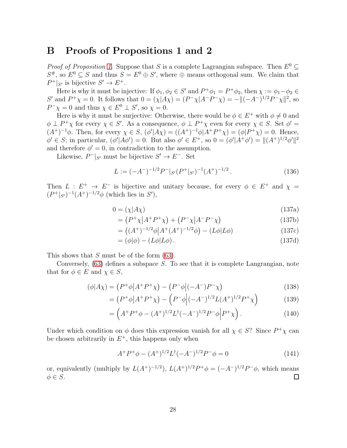### <span id="page-27-0"></span>B Proofs of Propositions 1 and 2

*Proof of Proposition [1.](#page-13-3)* Suppose that S is a complete Lagrangian subspace. Then  $E^0 \subset$  $S^{\#}$ , so  $E^0 \subseteq S$  and thus  $S = E^0 \oplus S'$ , where  $\oplus$  means orthogonal sum. We claim that  $P^+|_{S'}$  is bijective  $S' \to E^+$ .

Here is why it must be injective: If  $\phi_1, \phi_2 \in S'$  and  $P^+\phi_1 = P^+\phi_2$ , then  $\chi := \phi_1 - \phi_2 \in \mathbb{R}$ S' and  $P^+\chi = 0$ . It follows that  $0 = (\chi | A\chi) = (P^-\chi |A^-P^-\chi) = -||(-A^-)^{1/2}P^-\chi||^2$ , so  $P^-\chi = 0$  and thus  $\chi \in E^0 \perp S'$ , so  $\chi = 0$ .

Here is why it must be surjective: Otherwise, there would be  $\phi \in E^+$  with  $\phi \neq 0$  and  $\phi \perp P^+ \chi$  for every  $\chi \in S'$ . As a consequence,  $\phi \perp P^+ \chi$  even for every  $\chi \in S$ . Set  $\phi' =$  $(A^+)^{-1}\phi$ . Then, for every  $\chi \in S$ ,  $(\phi'|A\chi) = ((A^+)^{-1}\phi|A^+P^+\chi) = (\phi|P^+\chi) = 0$ . Hence,  $\phi' \in S$ ; in particular,  $(\phi' | A\phi') = 0$ . But also  $\phi' \in E^+$ , so  $0 = (\phi' | A^+\phi') = ||(A^+)^{1/2}\phi'||^2$ and therefore  $\phi' = 0$ , in contradiction to the assumption.

Likewise,  $P^-|_{S'}$  must be bijective  $S' \to E^-$ . Set

$$
L := (-A^{-})^{-1/2} P^{-} |_{S'} (P^{+} |_{S'})^{-1} (A^{+})^{-1/2} . \tag{136}
$$

Then  $L : E^+ \to E^-$  is bijective and unitary because, for every  $\phi \in E^+$  and  $\chi =$  $(P^+|_{S'})^{-1}(A^+)^{-1/2}\phi$  (which lies in  $S'$ ),

$$
0 = (\chi | A \chi) \tag{137a}
$$

$$
= (P^+ \chi | A^+ P^+ \chi) + (P^- \chi | A^- P^- \chi) \tag{137b}
$$

$$
= ((A^{+})^{-1/2}\phi | A^{+}(A^{+})^{-1/2}\phi) - (L\phi | L\phi)
$$
\n(137c)

$$
= (\phi|\phi) - (L\phi|L\phi). \tag{137d}
$$

This shows that S must be of the form  $(63)$ .

Conversely, [\(63\)](#page-13-4) defines a subspace S. To see that it is complete Langrangian, note that for  $\phi \in E$  and  $\chi \in S$ ,

$$
(\phi|A\chi) = (P^+\phi|A^+P^+\chi) - (P^-\phi|(-A^-)P^-\chi)
$$
\n(138)

$$
= (P^+ \phi | A^+ P^+ \chi) - (P^- \phi | (-A^-)^{1/2} L (A^+)^{1/2} P^+ \chi)
$$
\n(139)

$$
= \left( A^+ P^+ \phi - (A^+)^{1/2} L^\dagger (-A^-)^{1/2} P^- \phi \middle| P^+ \chi \right). \tag{140}
$$

Under which condition on  $\phi$  does this expression vanish for all  $\chi \in S$ ? Since  $P^+\chi$  can be chosen arbitrarily in  $E^+$ , this happens only when

$$
A^{+}P^{+}\phi - (A^{+})^{1/2}L^{\dagger}(-A^{-})^{1/2}P^{-}\phi = 0
$$
\n(141)

or, equivalently (multiply by  $L(A^+)^{-1/2}$ ),  $L(A^+)^{1/2}P^+\phi = (-A^-)^{1/2}P^-\phi$ , which means  $\phi \in S$ .  $\Box$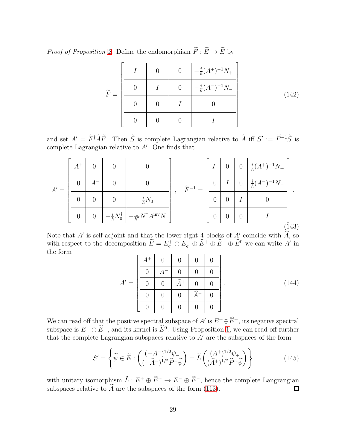*Proof of Proposition [2.](#page-22-1)* Define the endomorphism  $\widetilde{F}: \widetilde{E} \to \widetilde{E}$  by

$$
\widetilde{F} = \begin{bmatrix}\nI & 0 & 0 & -\frac{i}{\hbar}(A^{+})^{-1}N_{+} \\
0 & I & 0 & -\frac{i}{\hbar}(A^{-})^{-1}N_{-} \\
0 & 0 & I & 0 \\
0 & 0 & 0 & I\n\end{bmatrix}
$$
\n(142)

and set  $A' = \overline{F^{\dagger}AF}$ . Then S is complete Lagrangian relative to A iff  $S' := \overline{F^{-1}S}$  is complete Lagrangian relative to A′ . One finds that

|  | $A^+$          | $\overline{0}$   | $\overline{0}$                    |                                            |                    |                | $\overline{0}$ | $\overline{0}$ | $\frac{i}{\hbar}(A^+)^{-1}N_+$                      |     |
|--|----------------|------------------|-----------------------------------|--------------------------------------------|--------------------|----------------|----------------|----------------|-----------------------------------------------------|-----|
|  | $\overline{0}$ |                  | $\overline{0}$                    |                                            | $\widetilde{D}$ -1 | $\theta$       |                | $\theta$       | $^{\backprime -1}N_{-}$<br>$\frac{i}{\hbar}(A^{-})$ |     |
|  | $\theta$       | $\overline{0}$   |                                   | $\frac{i}{\hbar}N_0$                       |                    | $\overline{0}$ |                |                |                                                     |     |
|  | $\theta$       | $\boldsymbol{0}$ | $-\frac{i}{\hbar}N_{0}^{\dagger}$ | $-\frac{1}{\hbar^2}N^\dagger A^{\rm inv}N$ |                    | $\overline{0}$ | $\theta$       | $\overline{0}$ |                                                     |     |
|  |                |                  |                                   |                                            |                    |                |                |                |                                                     | 143 |

Note that A' is self-adjoint and that the lower right  $\frac{4}{3}$  blocks of  $\frac{A'}{B}$  coincide with A, so with respect to the decomposition  $E = E_q^+ \oplus E_q^- \oplus E^+ \oplus E^- \oplus E^0$  we can write A' in the form *Committee Committee States* 

|        | $A^+$            | $\overline{0}$   | $\overline{0}$   | $\overline{0}$ | $\Omega$       |            |
|--------|------------------|------------------|------------------|----------------|----------------|------------|
|        |                  |                  |                  |                |                |            |
| $A' =$ |                  |                  | $\widehat{A}^+$  |                |                | (144)<br>٠ |
|        |                  |                  |                  | ↷              |                |            |
|        | $\boldsymbol{0}$ | $\boldsymbol{0}$ | $\boldsymbol{0}$ | $\theta$       | $\overline{0}$ |            |

We can read off that the positive spectral subspace of A' is  $E^+\oplus E^+$ , its negative spectral subspace is  $E^- \oplus \overline{E}^-$ , and its kernel is  $\overline{E}^0$ . Using Proposition [1,](#page-13-3) we can read off further that the complete Lagrangian subspaces relative to  $A'$  are the subspaces of the form

$$
S' = \left\{ \widetilde{\psi} \in \widetilde{E} : \begin{pmatrix} (-A^{-})^{1/2} \psi_{-} \\ (-\widehat{A}^{-})^{1/2} \widehat{P}^{-} \widetilde{\psi} \end{pmatrix} = \widetilde{L} \begin{pmatrix} (A^{+})^{1/2} \psi_{+} \\ (\widehat{A}^{+})^{1/2} \widehat{P}^{+} \widetilde{\psi} \end{pmatrix} \right\}
$$
(145)

with unitary isomorphism  $\tilde{L}: E^+ \oplus \tilde{E}^+ \to E^- \oplus \tilde{E}^-$ , hence the complete Langrangian subspaces relative to  $\tilde{A}$  are the subspaces of the form (113). subspaces relative to  $\widetilde{A}$  are the subspaces of the form [\(113\)](#page-22-0).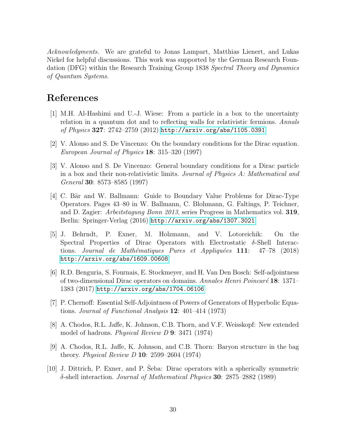Acknowledgments. We are grateful to Jonas Lampart, Matthias Lienert, and Lukas Nickel for helpful discussions. This work was supported by the German Research Foundation (DFG) within the Research Training Group 1838 Spectral Theory and Dynamics of Quantum Systems.

# <span id="page-29-6"></span>References

- [1] M.H. Al-Hashimi and U.-J. Wiese: From a particle in a box to the uncertainty relation in a quantum dot and to reflecting walls for relativistic fermions. Annals of Physics 327: 2742–2759 (2012) <http://arxiv.org/abs/1105.0391>
- <span id="page-29-5"></span><span id="page-29-4"></span>[2] V. Alonso and S. De Vincenzo: On the boundary conditions for the Dirac equation. European Journal of Physics 18: 315–320 (1997)
- [3] V. Alonso and S. De Vincenzo: General boundary conditions for a Dirac particle in a box and their non-relativistic limits. Journal of Physics A: Mathematical and General 30: 8573–8585 (1997)
- <span id="page-29-2"></span>[4] C. Bär and W. Ballmann: Guide to Boundary Value Problems for Dirac-Type Operators. Pages 43–80 in W. Ballmann, C. Blohmann, G. Faltings, P. Teichner, and D. Zagier: Arbeitstagung Bonn 2013, series Progress in Mathematics vol. 319, Berlin: Springer-Verlag (2016) <http://arxiv.org/abs/1307.3021>
- <span id="page-29-9"></span>[5] J. Behrndt, P. Exner, M. Holzmann, and V. Lotoreichik: On the Spectral Properties of Dirac Operators with Electrostatic  $\delta$ -Shell Interactions. Journal de Mathématiques Pures et Appliquées 111: 47–78 (2018) <http://arxiv.org/abs/1609.00608>
- <span id="page-29-7"></span>[6] R.D. Benguria, S. Fournais, E. Stockmeyer, and H. Van Den Bosch: Self-adjointness of two-dimensional Dirac operators on domains. Annales Henri Poincaré 18: 1371– 1383 (2017) <http://arxiv.org/abs/1704.06106>
- <span id="page-29-3"></span>[7] P. Chernoff: Essential Self-Adjointness of Powers of Generators of Hyperbolic Equations. Journal of Functional Analysis 12: 401–414 (1973)
- <span id="page-29-0"></span>[8] A. Chodos, R.L. Jaffe, K. Johnson, C.B. Thorn, and V.F. Weisskopf: New extended model of hadrons. Physical Review D 9: 3471 (1974)
- <span id="page-29-1"></span>[9] A. Chodos, R.L. Jaffe, K. Johnson, and C.B. Thorn: Baryon structure in the bag theory. Physical Review D 10: 2599–2604 (1974)
- <span id="page-29-8"></span> $[10]$  J. Dittrich, P. Exner, and P. Seba: Dirac operators with a spherically symmetric δ-shell interaction. Journal of Mathematical Physics **30**: 2875–2882 (1989)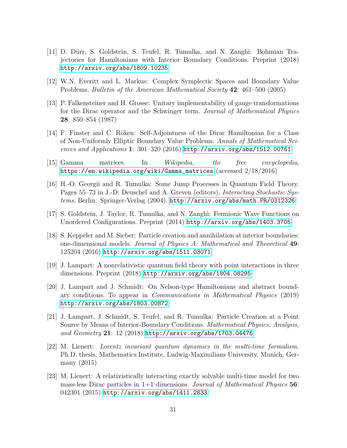- <span id="page-30-4"></span>[11] D. Dürr, S. Goldstein, S. Teufel, R. Tumulka, and N. Zanghi: Bohmian Trajectories for Hamiltonians with Interior–Boundary Conditions. Preprint (2018) <http://arxiv.org/abs/1809.10235>
- <span id="page-30-10"></span><span id="page-30-9"></span>[12] W.N. Everitt and L. Markus: Complex Symplectic Spaces and Boundary Value Problems. Bulletin of the American Mathematical Society 42: 461–500 (2005)
- [13] P. Falkensteiner and H. Grosse: Unitary implementability of gauge transformations for the Dirac operator and the Schwinger term. Journal of Mathematical Physics 28: 850–854 (1987)
- <span id="page-30-6"></span>[14] F. Finster and C. Röken: Self-Adjointness of the Dirac Hamiltonian for a Class of Non-Uniformly Elliptic Boundary Value Problems. Annals of Mathematical Sciences and Applications 1: 301–320 (2016) <http://arxiv.org/abs/1512.00761>
- <span id="page-30-7"></span><span id="page-30-3"></span>[15] Gamma matrices. In Wikipedia, the free encyclopedia, [https://en.wikipedia.org/wiki/Gamma\\_matrices](https://en.wikipedia.org/wiki/Gamma_matrices) (accessed 2/18/2016)
- [16] H.-O. Georgii and R. Tumulka: Some Jump Processes in Quantum Field Theory. Pages 55–73 in J.-D. Deuschel and A. Greven (editors), *Interacting Stochastic Sys*tems, Berlin: Springer-Verlag (2004). <http://arxiv.org/abs/math.PR/0312326>
- <span id="page-30-8"></span><span id="page-30-5"></span>[17] S. Goldstein, J. Taylor, R. Tumulka, and N. Zangh`ı: Fermionic Wave Functions on Unordered Configurations. Preprint (2014) <http://arxiv.org/abs/1403.3705>
- [18] S. Keppeler and M. Sieber: Particle creation and annihilation at interior boundaries: one-dimensional models. Journal of Physics A: Mathematical and Theoretical 49: 125204 (2016) <http://arxiv.org/abs/1511.03071>
- <span id="page-30-1"></span>[19] J. Lampart: A nonrelativistic quantum field theory with point interactions in three dimensions. Preprint (2018) <http://arxiv.org/abs/1804.08295>
- <span id="page-30-2"></span>[20] J. Lampart and J. Schmidt: On Nelson-type Hamiltonians and abstract boundary conditions. To appear in Communications in Mathematical Physics (2019) <http://arxiv.org/abs/1803.00872>
- <span id="page-30-0"></span>[21] J. Lampart, J. Schmidt, S. Teufel, and R. Tumulka: Particle Creation at a Point Source by Means of Interior-Boundary Conditions. Mathematical Physics, Analysis, and Geometry 21: 12 (2018) <http://arxiv.org/abs/1703.04476>
- <span id="page-30-11"></span>[22] M. Lienert: Lorentz invariant quantum dynamics in the multi-time formalism. Ph.D. thesis, Mathematics Institute, Ludwig-Maximilians University, Munich, Germany (2015)
- <span id="page-30-12"></span>[23] M. Lienert: A relativistically interacting exactly solvable multi-time model for two mass-less Dirac particles in  $1+1$  dimensions. *Journal of Mathematical Physics* 56: 042301 (2015) <http://arxiv.org/abs/1411.2833>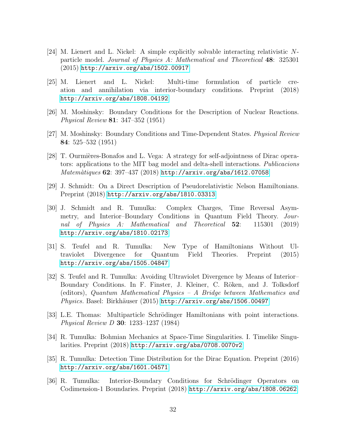- <span id="page-31-11"></span>[24] M. Lienert and L. Nickel: A simple explicitly solvable interacting relativistic Nparticle model. Journal of Physics A: Mathematical and Theoretical 48: 325301 (2015) <http://arxiv.org/abs/1502.00917>
- <span id="page-31-8"></span>[25] M. Lienert and L. Nickel: Multi-time formulation of particle creation and annihilation via interior-boundary conditions. Preprint (2018) <http://arxiv.org/abs/1808.04192>
- <span id="page-31-5"></span><span id="page-31-4"></span>[26] M. Moshinsky: Boundary Conditions for the Description of Nuclear Reactions. Physical Review 81: 347–352 (1951)
- <span id="page-31-12"></span>[27] M. Moshinsky: Boundary Conditions and Time-Dependent States. Physical Review 84: 525–532 (1951)
- [28] T. Ourmières-Bonafos and L. Vega: A strategy for self-adjointness of Dirac operators: applications to the MIT bag model and delta-shell interactions. Publicacions  $\textit{Matemàtiques } 62: 397-437 (2018) \text{ http://arxiv.org/abs/1612.07058})$  $\textit{Matemàtiques } 62: 397-437 (2018) \text{ http://arxiv.org/abs/1612.07058})$  $\textit{Matemàtiques } 62: 397-437 (2018) \text{ http://arxiv.org/abs/1612.07058})$
- <span id="page-31-9"></span><span id="page-31-1"></span>[29] J. Schmidt: On a Direct Description of Pseudorelativistic Nelson Hamiltonians. Preprint (2018) <http://arxiv.org/abs/1810.03313>
- [30] J. Schmidt and R. Tumulka: Complex Charges, Time Reversal Asymmetry, and Interior–Boundary Conditions in Quantum Field Theory. Journal of Physics A: Mathematical and Theoretical 52: 115301 (2019) <http://arxiv.org/abs/1810.02173>
- <span id="page-31-0"></span>[31] S. Teufel and R. Tumulka: New Type of Hamiltonians Without Ultraviolet Divergence for Quantum Field Theories. Preprint (2015) <http://arxiv.org/abs/1505.04847>
- <span id="page-31-3"></span>[32] S. Teufel and R. Tumulka: Avoiding Ultraviolet Divergence by Means of Interior– Boundary Conditions. In F. Finster, J. Kleiner, C. Röken, and J. Tolksdorf (editors), Quantum Mathematical Physics – A Bridge between Mathematics and Physics. Basel: Birkhäuser (2015) <http://arxiv.org/abs/1506.00497>
- <span id="page-31-6"></span>[33] L.E. Thomas: Multiparticle Schrödinger Hamiltonians with point interactions. Physical Review D 30: 1233–1237 (1984)
- <span id="page-31-7"></span>[34] R. Tumulka: Bohmian Mechanics at Space-Time Singularities. I. Timelike Singularities. Preprint (2018) <http://arxiv.org/abs/0708.0070v2>
- <span id="page-31-10"></span>[35] R. Tumulka: Detection Time Distribution for the Dirac Equation. Preprint (2016) <http://arxiv.org/abs/1601.04571>
- <span id="page-31-2"></span>[36] R. Tumulka: Interior-Boundary Conditions for Schrödinger Operators on Codimension-1 Boundaries. Preprint (2018) <http://arxiv.org/abs/1808.06262>